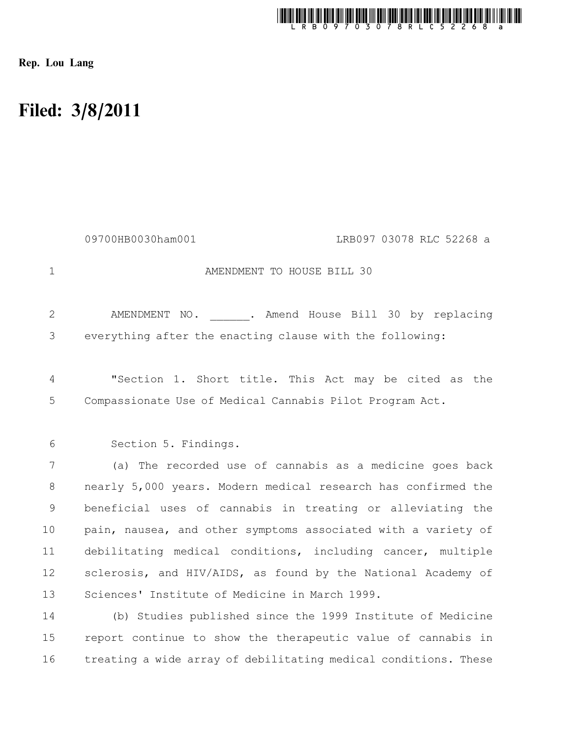

Rep. Lou Lang

16

## Filed: 3/8/2011

AMENDMENT TO HOUSE BILL 30 AMENDMENT NO. . Amend House Bill 30 by replacing everything after the enacting clause with the following: "Section 1. Short title. This Act may be cited as the Compassionate Use of Medical Cannabis Pilot Program Act. Section 5. Findings. (a) The recorded use of cannabis as a medicine goes back nearly 5,000 years. Modern medical research has confirmed the beneficial uses of cannabis in treating or alleviating the pain, nausea, and other symptoms associated with a variety of debilitating medical conditions, including cancer, multiple sclerosis, and HIV/AIDS, as found by the National Academy of Sciences' Institute of Medicine in March 1999. (b) Studies published since the 1999 Institute of Medicine report continue to show the therapeutic value of cannabis in treating a wide array of debilitating medical conditions. These 1 2 3 4 5 6 7 8 9 10 11 12 13 14 15 09700HB0030ham001 LRB097 03078 RLC 52268 a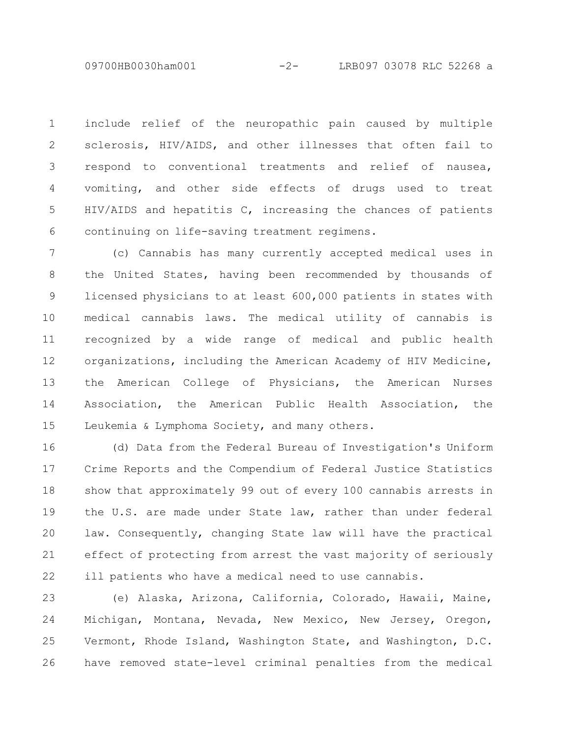09700HB0030ham001 -2- LRB097 03078 RLC 52268 a

include relief of the neuropathic pain caused by multiple sclerosis, HIV/AIDS, and other illnesses that often fail to respond to conventional treatments and relief of nausea, vomiting, and other side effects of drugs used to treat HIV/AIDS and hepatitis C, increasing the chances of patients continuing on life-saving treatment regimens. 1 2 3 4 5 6

(c) Cannabis has many currently accepted medical uses in the United States, having been recommended by thousands of licensed physicians to at least 600,000 patients in states with medical cannabis laws. The medical utility of cannabis is recognized by a wide range of medical and public health organizations, including the American Academy of HIV Medicine, the American College of Physicians, the American Nurses Association, the American Public Health Association, the Leukemia & Lymphoma Society, and many others. 7 8 9 10 11 12 13 14 15

(d) Data from the Federal Bureau of Investigation's Uniform Crime Reports and the Compendium of Federal Justice Statistics show that approximately 99 out of every 100 cannabis arrests in the U.S. are made under State law, rather than under federal law. Consequently, changing State law will have the practical effect of protecting from arrest the vast majority of seriously ill patients who have a medical need to use cannabis. 16 17 18 19 20 21 22

(e) Alaska, Arizona, California, Colorado, Hawaii, Maine, Michigan, Montana, Nevada, New Mexico, New Jersey, Oregon, Vermont, Rhode Island, Washington State, and Washington, D.C. have removed state-level criminal penalties from the medical 23 24 25 26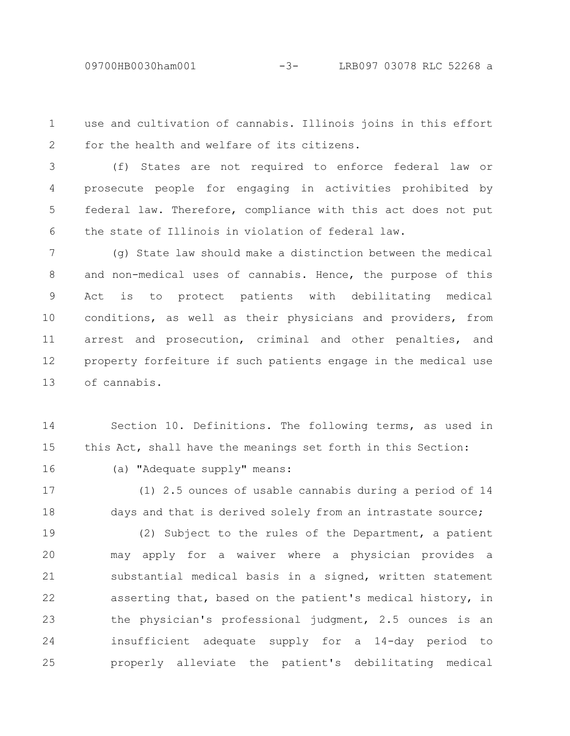use and cultivation of cannabis. Illinois joins in this effort for the health and welfare of its citizens. 1 2

(f) States are not required to enforce federal law or prosecute people for engaging in activities prohibited by federal law. Therefore, compliance with this act does not put the state of Illinois in violation of federal law. 3 4 5 6

(g) State law should make a distinction between the medical and non-medical uses of cannabis. Hence, the purpose of this Act is to protect patients with debilitating medical conditions, as well as their physicians and providers, from arrest and prosecution, criminal and other penalties, and property forfeiture if such patients engage in the medical use of cannabis. 7 8 9 10 11 12 13

Section 10. Definitions. The following terms, as used in this Act, shall have the meanings set forth in this Section: 14 15

16

(a) "Adequate supply" means:

(1) 2.5 ounces of usable cannabis during a period of 14 days and that is derived solely from an intrastate source; 17 18

(2) Subject to the rules of the Department, a patient may apply for a waiver where a physician provides a substantial medical basis in a signed, written statement asserting that, based on the patient's medical history, in the physician's professional judgment, 2.5 ounces is an insufficient adequate supply for a 14-day period to properly alleviate the patient's debilitating medical 19 20 21 22 23 24 25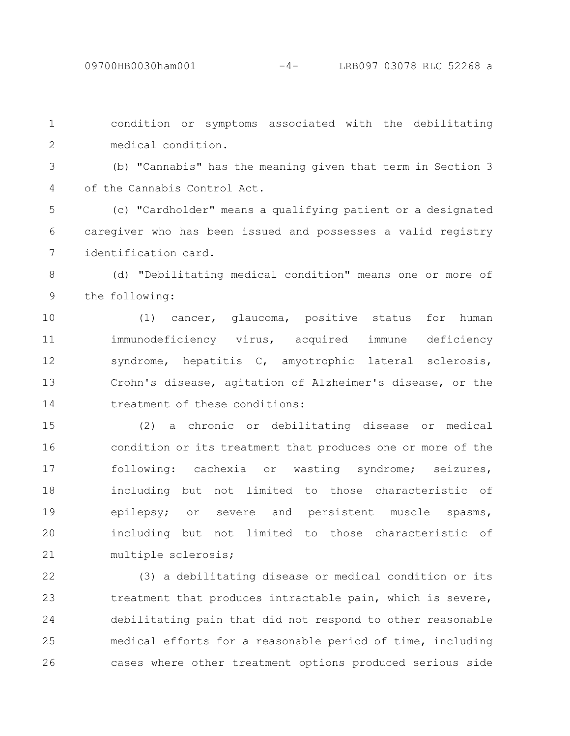condition or symptoms associated with the debilitating medical condition. 1 2

(b) "Cannabis" has the meaning given that term in Section 3 of the Cannabis Control Act. 3 4

(c) "Cardholder" means a qualifying patient or a designated caregiver who has been issued and possesses a valid registry identification card. 5 6 7

(d) "Debilitating medical condition" means one or more of the following: 8 9

(1) cancer, glaucoma, positive status for human immunodeficiency virus, acquired immune deficiency syndrome, hepatitis C, amyotrophic lateral sclerosis, Crohn's disease, agitation of Alzheimer's disease, or the treatment of these conditions: 10 11 12 13 14

(2) a chronic or debilitating disease or medical condition or its treatment that produces one or more of the following: cachexia or wasting syndrome; seizures, including but not limited to those characteristic of epilepsy; or severe and persistent muscle spasms, including but not limited to those characteristic of multiple sclerosis; 15 16 17 18 19 20 21

(3) a debilitating disease or medical condition or its treatment that produces intractable pain, which is severe, debilitating pain that did not respond to other reasonable medical efforts for a reasonable period of time, including cases where other treatment options produced serious side 22 23 24 25 26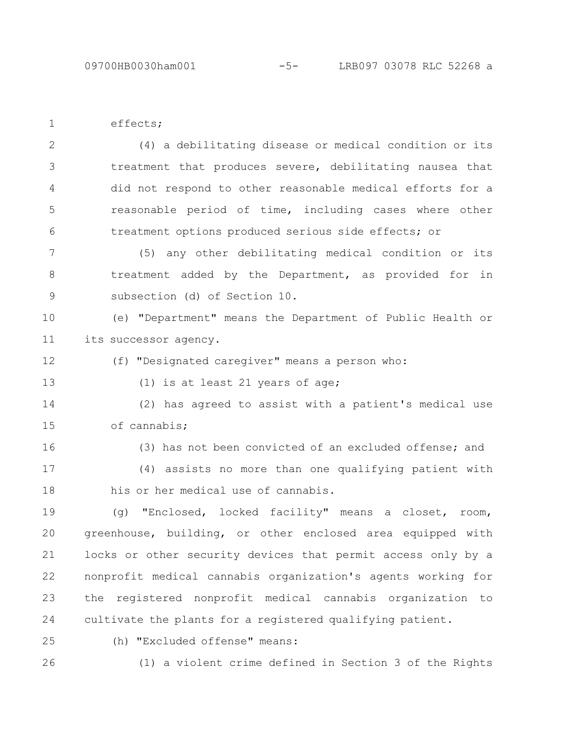effects; 1

(4) a debilitating disease or medical condition or its treatment that produces severe, debilitating nausea that did not respond to other reasonable medical efforts for a reasonable period of time, including cases where other treatment options produced serious side effects; or 2 3 4 5 6

(5) any other debilitating medical condition or its treatment added by the Department, as provided for in subsection (d) of Section 10. 7 8 9

(e) "Department" means the Department of Public Health or its successor agency. 10 11

- (f) "Designated caregiver" means a person who: 12
- 13

(1) is at least 21 years of age;

(2) has agreed to assist with a patient's medical use of cannabis; 14 15

(3) has not been convicted of an excluded offense; and (4) assists no more than one qualifying patient with his or her medical use of cannabis. 16 17 18

(g) "Enclosed, locked facility" means a closet, room, greenhouse, building, or other enclosed area equipped with locks or other security devices that permit access only by a nonprofit medical cannabis organization's agents working for the registered nonprofit medical cannabis organization to cultivate the plants for a registered qualifying patient. 19 20 21 22 23 24

25

(h) "Excluded offense" means:

26

(1) a violent crime defined in Section 3 of the Rights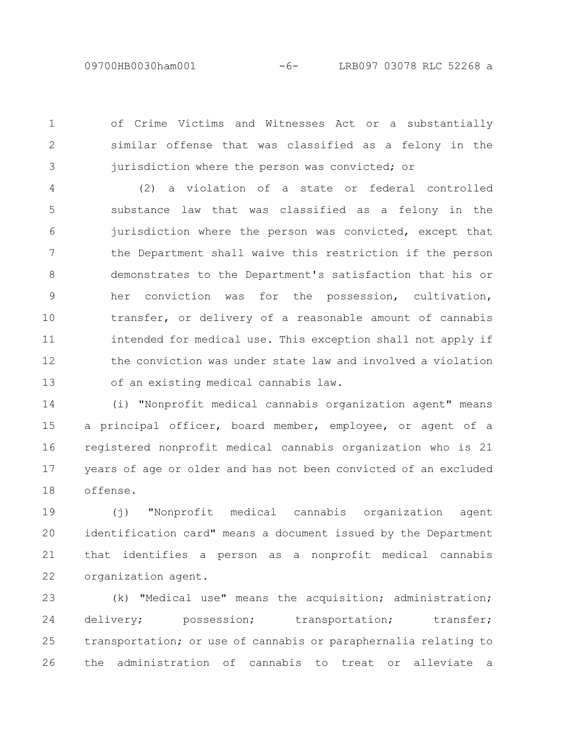09700HB0030ham001 -6- LRB097 03078 RLC 52268 a

of Crime Victims and Witnesses Act or a substantially similar offense that was classified as a felony in the jurisdiction where the person was convicted; or

1

2

3

(2) a violation of a state or federal controlled substance law that was classified as a felony in the jurisdiction where the person was convicted, except that the Department shall waive this restriction if the person demonstrates to the Department's satisfaction that his or her conviction was for the possession, cultivation, transfer, or delivery of a reasonable amount of cannabis intended for medical use. This exception shall not apply if the conviction was under state law and involved a violation of an existing medical cannabis law. 4 5 6 7 8 9 10 11 12 13

(i) "Nonprofit medical cannabis organization agent" means a principal officer, board member, employee, or agent of a registered nonprofit medical cannabis organization who is 21 years of age or older and has not been convicted of an excluded offense. 14 15 16 17 18

(j) "Nonprofit medical cannabis organization agent identification card" means a document issued by the Department that identifies a person as a nonprofit medical cannabis organization agent. 19 20 21 22

(k) "Medical use" means the acquisition; administration; delivery; possession; transportation; transfer; transportation; or use of cannabis or paraphernalia relating to the administration of cannabis to treat or alleviate a 23 24 25 26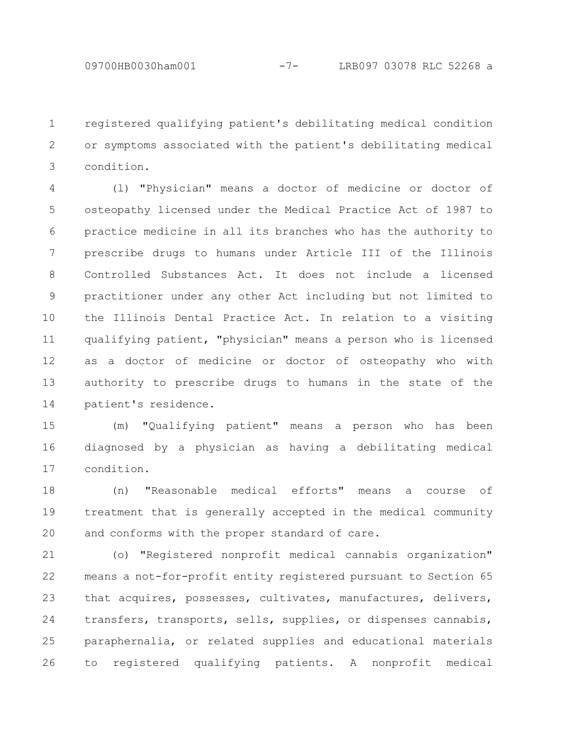registered qualifying patient's debilitating medical condition or symptoms associated with the patient's debilitating medical condition. 1 2 3

(l) "Physician" means a doctor of medicine or doctor of osteopathy licensed under the Medical Practice Act of 1987 to practice medicine in all its branches who has the authority to prescribe drugs to humans under Article III of the Illinois Controlled Substances Act. It does not include a licensed practitioner under any other Act including but not limited to the Illinois Dental Practice Act. In relation to a visiting qualifying patient, "physician" means a person who is licensed as a doctor of medicine or doctor of osteopathy who with authority to prescribe drugs to humans in the state of the patient's residence. 4 5 6 7 8 9 10 11 12 13 14

(m) "Qualifying patient" means a person who has been diagnosed by a physician as having a debilitating medical condition. 15 16 17

(n) "Reasonable medical efforts" means a course of treatment that is generally accepted in the medical community and conforms with the proper standard of care. 18 19 20

(o) "Registered nonprofit medical cannabis organization" means a not-for-profit entity registered pursuant to Section 65 that acquires, possesses, cultivates, manufactures, delivers, transfers, transports, sells, supplies, or dispenses cannabis, paraphernalia, or related supplies and educational materials to registered qualifying patients. A nonprofit medical 21 22 23 24 25 26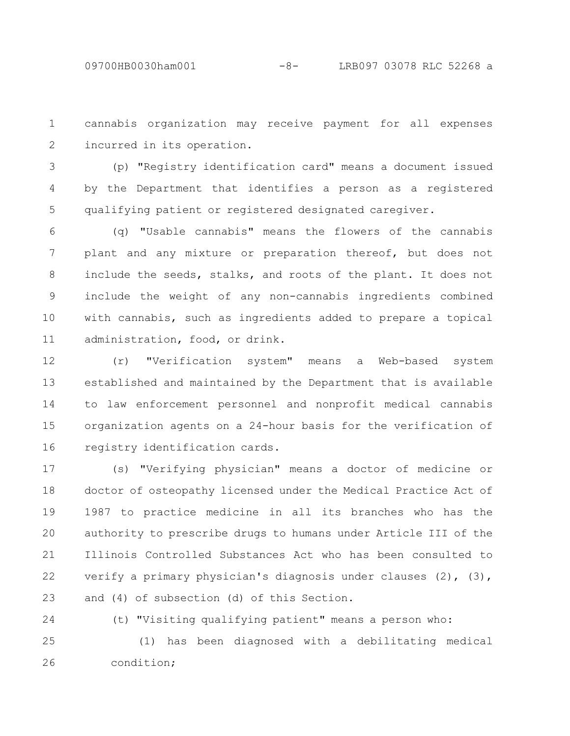cannabis organization may receive payment for all expenses incurred in its operation. 1 2

(p) "Registry identification card" means a document issued by the Department that identifies a person as a registered qualifying patient or registered designated caregiver. 3 4 5

(q) "Usable cannabis" means the flowers of the cannabis plant and any mixture or preparation thereof, but does not include the seeds, stalks, and roots of the plant. It does not include the weight of any non-cannabis ingredients combined with cannabis, such as ingredients added to prepare a topical administration, food, or drink. 6 7 8 9 10 11

(r) "Verification system" means a Web-based system established and maintained by the Department that is available to law enforcement personnel and nonprofit medical cannabis organization agents on a 24-hour basis for the verification of registry identification cards. 12 13 14 15 16

(s) "Verifying physician" means a doctor of medicine or doctor of osteopathy licensed under the Medical Practice Act of 1987 to practice medicine in all its branches who has the authority to prescribe drugs to humans under Article III of the Illinois Controlled Substances Act who has been consulted to verify a primary physician's diagnosis under clauses (2), (3), and (4) of subsection (d) of this Section. 17 18 19 20 21 22 23

24

(t) "Visiting qualifying patient" means a person who:

(1) has been diagnosed with a debilitating medical condition; 25 26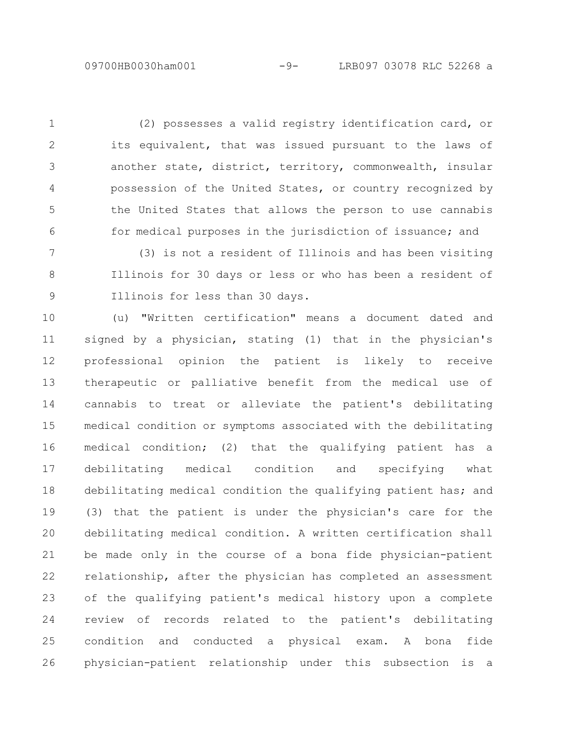(2) possesses a valid registry identification card, or its equivalent, that was issued pursuant to the laws of another state, district, territory, commonwealth, insular possession of the United States, or country recognized by the United States that allows the person to use cannabis for medical purposes in the jurisdiction of issuance; and 1 2 3 4 5 6

(3) is not a resident of Illinois and has been visiting Illinois for 30 days or less or who has been a resident of Illinois for less than 30 days. 7 8 9

(u) "Written certification" means a document dated and signed by a physician, stating (1) that in the physician's professional opinion the patient is likely to receive therapeutic or palliative benefit from the medical use of cannabis to treat or alleviate the patient's debilitating medical condition or symptoms associated with the debilitating medical condition; (2) that the qualifying patient has a debilitating medical condition and specifying what debilitating medical condition the qualifying patient has; and (3) that the patient is under the physician's care for the debilitating medical condition. A written certification shall be made only in the course of a bona fide physician-patient relationship, after the physician has completed an assessment of the qualifying patient's medical history upon a complete review of records related to the patient's debilitating condition and conducted a physical exam. A bona fide physician-patient relationship under this subsection is a 10 11 12 13 14 15 16 17 18 19 20 21 22 23 24 25 26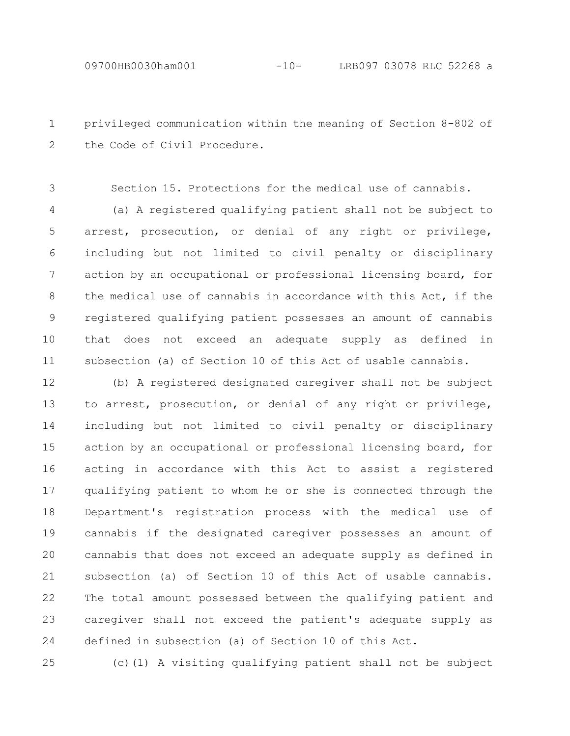privileged communication within the meaning of Section 8-802 of the Code of Civil Procedure. 1 2

Section 15. Protections for the medical use of cannabis. 3

(a) A registered qualifying patient shall not be subject to arrest, prosecution, or denial of any right or privilege, including but not limited to civil penalty or disciplinary action by an occupational or professional licensing board, for the medical use of cannabis in accordance with this Act, if the registered qualifying patient possesses an amount of cannabis that does not exceed an adequate supply as defined in subsection (a) of Section 10 of this Act of usable cannabis. 4 5 6 7 8 9 10 11

(b) A registered designated caregiver shall not be subject to arrest, prosecution, or denial of any right or privilege, including but not limited to civil penalty or disciplinary action by an occupational or professional licensing board, for acting in accordance with this Act to assist a registered qualifying patient to whom he or she is connected through the Department's registration process with the medical use of cannabis if the designated caregiver possesses an amount of cannabis that does not exceed an adequate supply as defined in subsection (a) of Section 10 of this Act of usable cannabis. The total amount possessed between the qualifying patient and caregiver shall not exceed the patient's adequate supply as defined in subsection (a) of Section 10 of this Act. 12 13 14 15 16 17 18 19 20 21 22 23 24

25

(c)(1) A visiting qualifying patient shall not be subject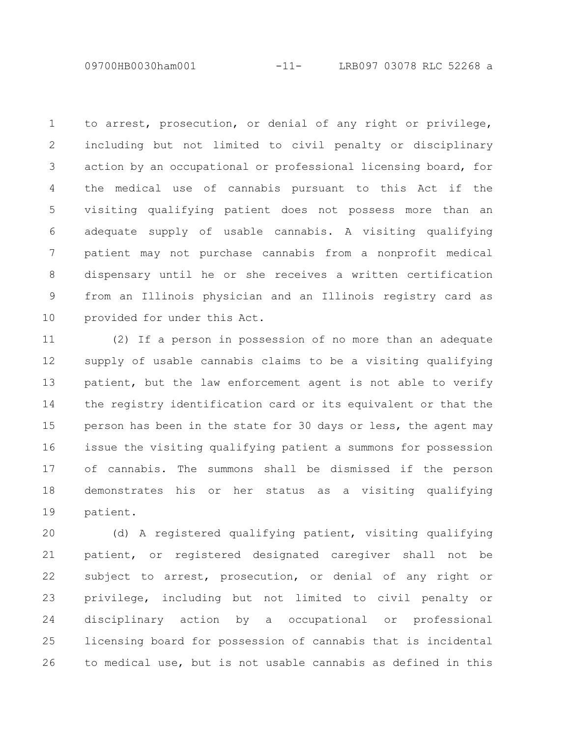09700HB0030ham001 -11- LRB097 03078 RLC 52268 a

to arrest, prosecution, or denial of any right or privilege, including but not limited to civil penalty or disciplinary action by an occupational or professional licensing board, for the medical use of cannabis pursuant to this Act if the visiting qualifying patient does not possess more than an adequate supply of usable cannabis. A visiting qualifying patient may not purchase cannabis from a nonprofit medical dispensary until he or she receives a written certification from an Illinois physician and an Illinois registry card as provided for under this Act. 1 2 3 4 5 6 7 8 9 10

(2) If a person in possession of no more than an adequate supply of usable cannabis claims to be a visiting qualifying patient, but the law enforcement agent is not able to verify the registry identification card or its equivalent or that the person has been in the state for 30 days or less, the agent may issue the visiting qualifying patient a summons for possession of cannabis. The summons shall be dismissed if the person demonstrates his or her status as a visiting qualifying patient. 11 12 13 14 15 16 17 18 19

(d) A registered qualifying patient, visiting qualifying patient, or registered designated caregiver shall not be subject to arrest, prosecution, or denial of any right or privilege, including but not limited to civil penalty or disciplinary action by a occupational or professional licensing board for possession of cannabis that is incidental to medical use, but is not usable cannabis as defined in this 20 21 22 23 24 25 26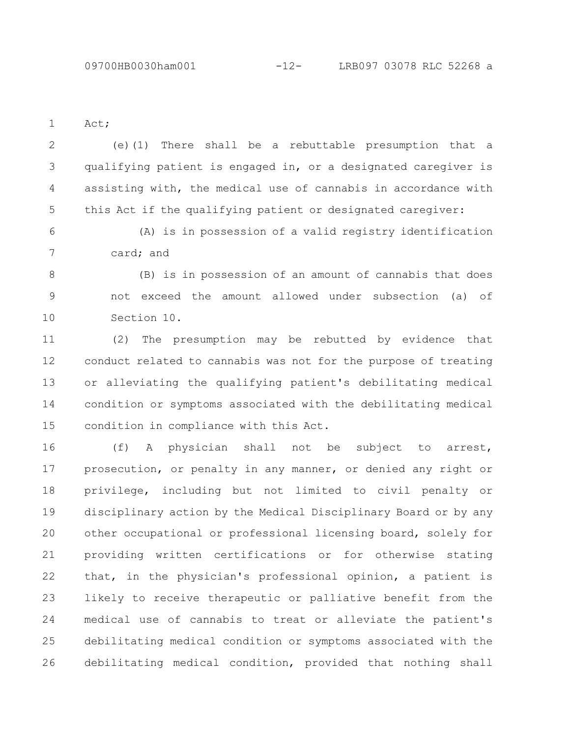Act; 1

(e)(1) There shall be a rebuttable presumption that a qualifying patient is engaged in, or a designated caregiver is assisting with, the medical use of cannabis in accordance with this Act if the qualifying patient or designated caregiver: 2 3 4 5

(A) is in possession of a valid registry identification card; and 6 7

(B) is in possession of an amount of cannabis that does not exceed the amount allowed under subsection (a) of Section 10. 8 9 10

(2) The presumption may be rebutted by evidence that conduct related to cannabis was not for the purpose of treating or alleviating the qualifying patient's debilitating medical condition or symptoms associated with the debilitating medical condition in compliance with this Act. 11 12 13 14 15

(f) A physician shall not be subject to arrest, prosecution, or penalty in any manner, or denied any right or privilege, including but not limited to civil penalty or disciplinary action by the Medical Disciplinary Board or by any other occupational or professional licensing board, solely for providing written certifications or for otherwise stating that, in the physician's professional opinion, a patient is likely to receive therapeutic or palliative benefit from the medical use of cannabis to treat or alleviate the patient's debilitating medical condition or symptoms associated with the debilitating medical condition, provided that nothing shall 16 17 18 19 20 21 22 23 24 25 26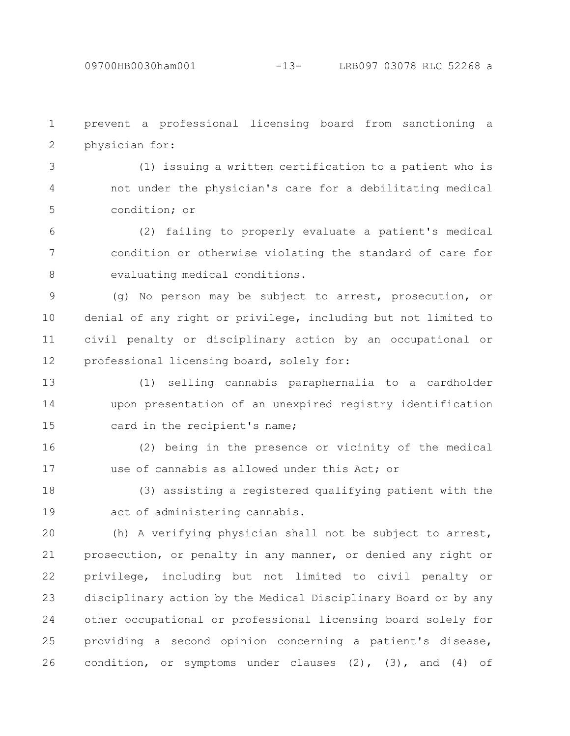prevent a professional licensing board from sanctioning a physician for: 1 2

(1) issuing a written certification to a patient who is not under the physician's care for a debilitating medical condition; or 3 4 5

(2) failing to properly evaluate a patient's medical condition or otherwise violating the standard of care for evaluating medical conditions. 6 7 8

(g) No person may be subject to arrest, prosecution, or denial of any right or privilege, including but not limited to civil penalty or disciplinary action by an occupational or professional licensing board, solely for: 9 10 11 12

(1) selling cannabis paraphernalia to a cardholder upon presentation of an unexpired registry identification card in the recipient's name; 13 14 15

(2) being in the presence or vicinity of the medical use of cannabis as allowed under this Act: or 16 17

(3) assisting a registered qualifying patient with the act of administering cannabis. 18 19

(h) A verifying physician shall not be subject to arrest, prosecution, or penalty in any manner, or denied any right or privilege, including but not limited to civil penalty or disciplinary action by the Medical Disciplinary Board or by any other occupational or professional licensing board solely for providing a second opinion concerning a patient's disease, condition, or symptoms under clauses (2), (3), and (4) of 20 21 22 23 24 25 26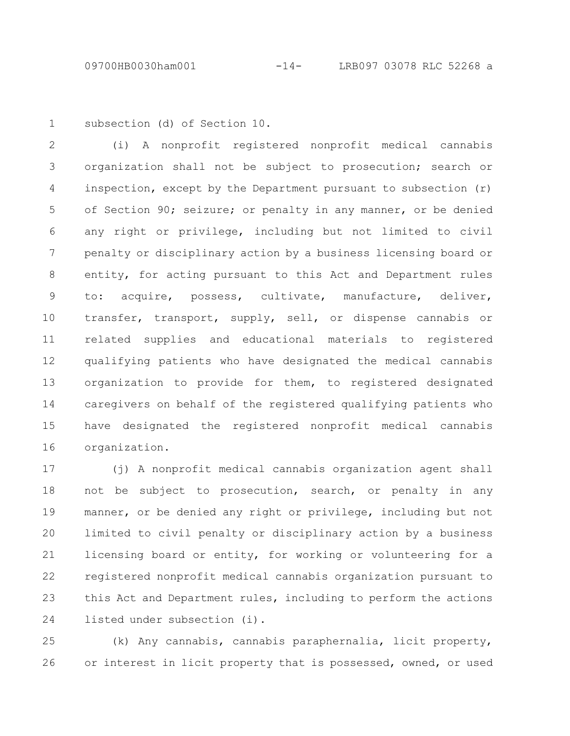1

subsection (d) of Section 10.

(i) A nonprofit registered nonprofit medical cannabis organization shall not be subject to prosecution; search or inspection, except by the Department pursuant to subsection (r) of Section 90; seizure; or penalty in any manner, or be denied any right or privilege, including but not limited to civil penalty or disciplinary action by a business licensing board or entity, for acting pursuant to this Act and Department rules to: acquire, possess, cultivate, manufacture, deliver, transfer, transport, supply, sell, or dispense cannabis or related supplies and educational materials to registered qualifying patients who have designated the medical cannabis organization to provide for them, to registered designated caregivers on behalf of the registered qualifying patients who have designated the registered nonprofit medical cannabis organization. 2 3 4 5 6 7 8 9 10 11 12 13 14 15 16

(j) A nonprofit medical cannabis organization agent shall not be subject to prosecution, search, or penalty in any manner, or be denied any right or privilege, including but not limited to civil penalty or disciplinary action by a business licensing board or entity, for working or volunteering for a registered nonprofit medical cannabis organization pursuant to this Act and Department rules, including to perform the actions listed under subsection (i). 17 18 19 20 21 22 23 24

(k) Any cannabis, cannabis paraphernalia, licit property, or interest in licit property that is possessed, owned, or used 25 26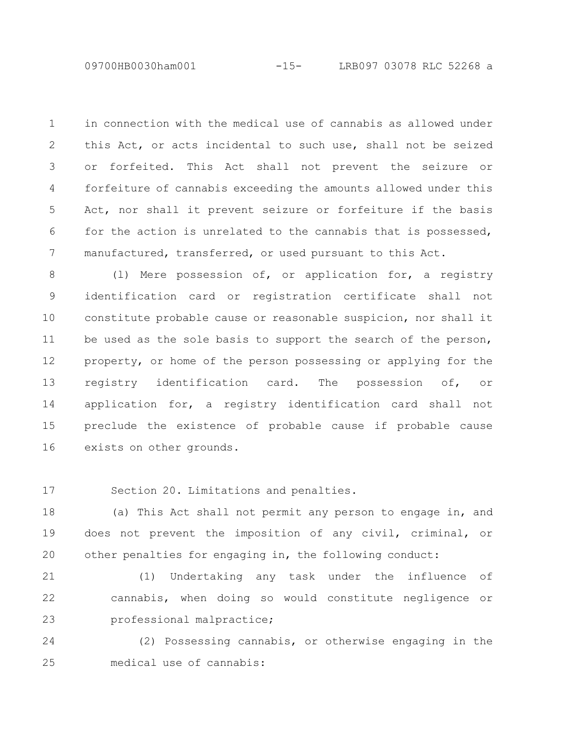09700HB0030ham001 -15- LRB097 03078 RLC 52268 a

in connection with the medical use of cannabis as allowed under this Act, or acts incidental to such use, shall not be seized or forfeited. This Act shall not prevent the seizure or forfeiture of cannabis exceeding the amounts allowed under this Act, nor shall it prevent seizure or forfeiture if the basis for the action is unrelated to the cannabis that is possessed, manufactured, transferred, or used pursuant to this Act. 1 2 3 4 5 6 7

(l) Mere possession of, or application for, a registry identification card or registration certificate shall not constitute probable cause or reasonable suspicion, nor shall it be used as the sole basis to support the search of the person, property, or home of the person possessing or applying for the registry identification card. The possession of, or application for, a registry identification card shall not preclude the existence of probable cause if probable cause exists on other grounds. 8 9 10 11 12 13 14 15 16

Section 20. Limitations and penalties. 17

(a) This Act shall not permit any person to engage in, and does not prevent the imposition of any civil, criminal, or other penalties for engaging in, the following conduct: 18 19 20

(1) Undertaking any task under the influence of cannabis, when doing so would constitute negligence or professional malpractice; 21 22 23

(2) Possessing cannabis, or otherwise engaging in the medical use of cannabis: 24 25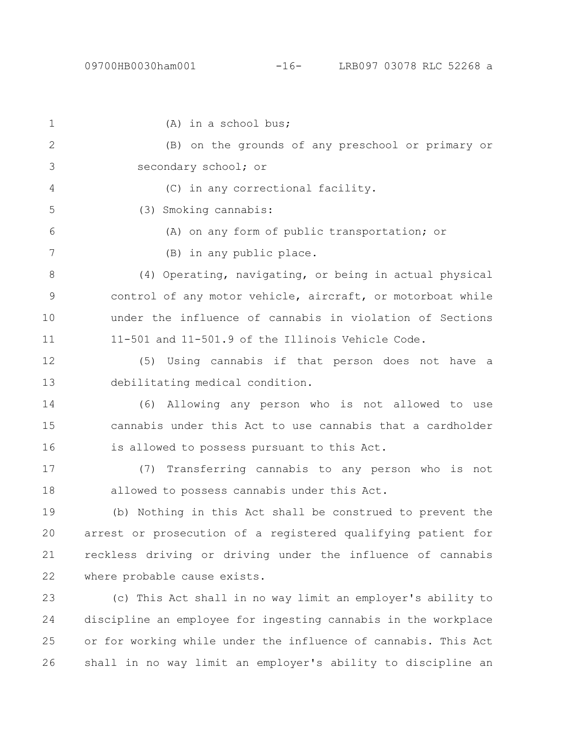26

(A) in a school bus; (B) on the grounds of any preschool or primary or secondary school; or (C) in any correctional facility. (3) Smoking cannabis: (A) on any form of public transportation; or (B) in any public place. (4) Operating, navigating, or being in actual physical control of any motor vehicle, aircraft, or motorboat while under the influence of cannabis in violation of Sections 11-501 and 11-501.9 of the Illinois Vehicle Code. (5) Using cannabis if that person does not have a debilitating medical condition. (6) Allowing any person who is not allowed to use cannabis under this Act to use cannabis that a cardholder is allowed to possess pursuant to this Act. (7) Transferring cannabis to any person who is not allowed to possess cannabis under this Act. (b) Nothing in this Act shall be construed to prevent the arrest or prosecution of a registered qualifying patient for reckless driving or driving under the influence of cannabis where probable cause exists. (c) This Act shall in no way limit an employer's ability to discipline an employee for ingesting cannabis in the workplace or for working while under the influence of cannabis. This Act 1 2 3 4 5 6 7 8 9 10 11 12 13 14 15 16 17 18 19 20 21 22 23 24 25

shall in no way limit an employer's ability to discipline an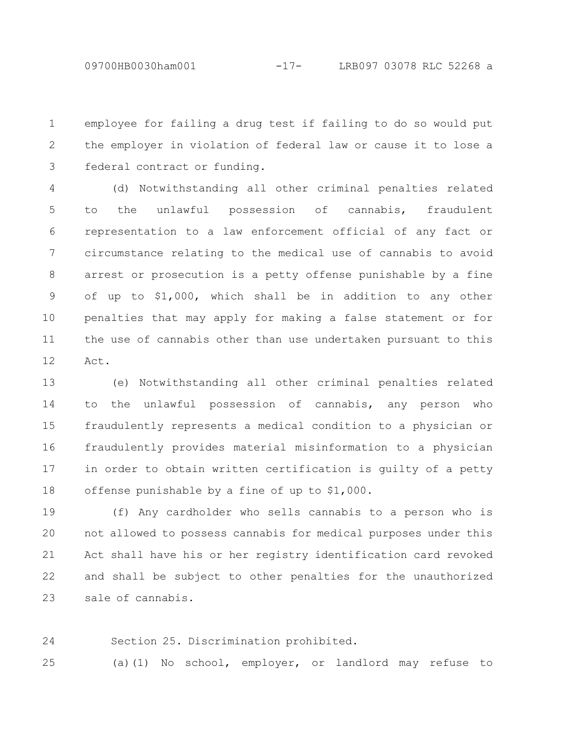employee for failing a drug test if failing to do so would put the employer in violation of federal law or cause it to lose a federal contract or funding. 1 2 3

(d) Notwithstanding all other criminal penalties related to the unlawful possession of cannabis, fraudulent representation to a law enforcement official of any fact or circumstance relating to the medical use of cannabis to avoid arrest or prosecution is a petty offense punishable by a fine of up to \$1,000, which shall be in addition to any other penalties that may apply for making a false statement or for the use of cannabis other than use undertaken pursuant to this Act. 4 5 6 7 8 9 10 11 12

(e) Notwithstanding all other criminal penalties related to the unlawful possession of cannabis, any person who fraudulently represents a medical condition to a physician or fraudulently provides material misinformation to a physician in order to obtain written certification is guilty of a petty offense punishable by a fine of up to \$1,000. 13 14 15 16 17 18

(f) Any cardholder who sells cannabis to a person who is not allowed to possess cannabis for medical purposes under this Act shall have his or her registry identification card revoked and shall be subject to other penalties for the unauthorized sale of cannabis. 19 20 21 22 23

Section 25. Discrimination prohibited. 24

(a)(1) No school, employer, or landlord may refuse to 25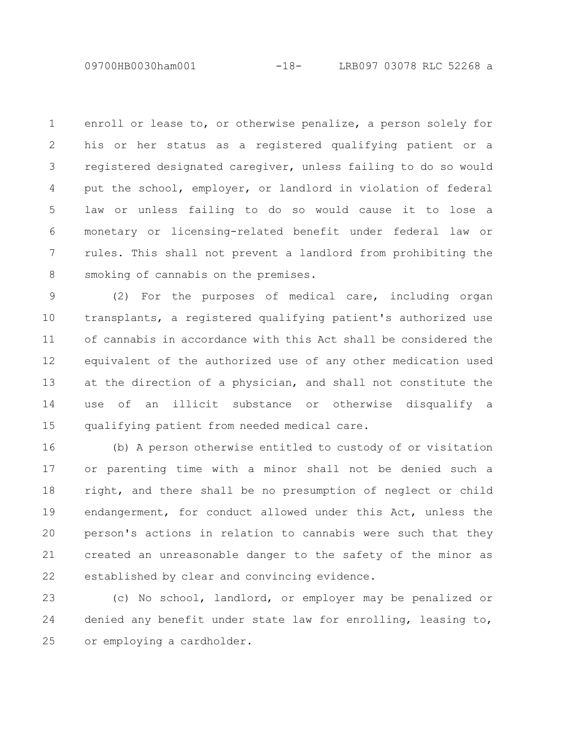09700HB0030ham001 -18- LRB097 03078 RLC 52268 a

enroll or lease to, or otherwise penalize, a person solely for his or her status as a registered qualifying patient or a registered designated caregiver, unless failing to do so would put the school, employer, or landlord in violation of federal law or unless failing to do so would cause it to lose a monetary or licensing-related benefit under federal law or rules. This shall not prevent a landlord from prohibiting the smoking of cannabis on the premises. 1 2 3 4 5 6 7 8

(2) For the purposes of medical care, including organ transplants, a registered qualifying patient's authorized use of cannabis in accordance with this Act shall be considered the equivalent of the authorized use of any other medication used at the direction of a physician, and shall not constitute the use of an illicit substance or otherwise disqualify a qualifying patient from needed medical care. 9 10 11 12 13 14 15

(b) A person otherwise entitled to custody of or visitation or parenting time with a minor shall not be denied such a right, and there shall be no presumption of neglect or child endangerment, for conduct allowed under this Act, unless the person's actions in relation to cannabis were such that they created an unreasonable danger to the safety of the minor as established by clear and convincing evidence. 16 17 18 19 20 21 22

(c) No school, landlord, or employer may be penalized or denied any benefit under state law for enrolling, leasing to, or employing a cardholder. 23 24 25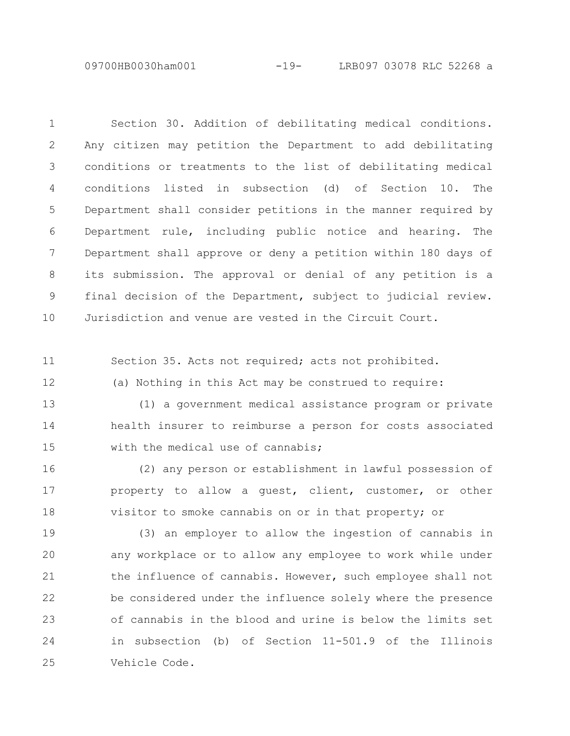09700HB0030ham001 -19- LRB097 03078 RLC 52268 a

Section 30. Addition of debilitating medical conditions. Any citizen may petition the Department to add debilitating conditions or treatments to the list of debilitating medical conditions listed in subsection (d) of Section 10. The Department shall consider petitions in the manner required by Department rule, including public notice and hearing. The Department shall approve or deny a petition within 180 days of its submission. The approval or denial of any petition is a final decision of the Department, subject to judicial review. Jurisdiction and venue are vested in the Circuit Court. 1 2 3 4 5 6 7 8 9 10

Section 35. Acts not required; acts not prohibited. 11

12

(a) Nothing in this Act may be construed to require:

(1) a government medical assistance program or private health insurer to reimburse a person for costs associated with the medical use of cannabis: 13 14 15

(2) any person or establishment in lawful possession of property to allow a guest, client, customer, or other visitor to smoke cannabis on or in that property; or 16 17 18

(3) an employer to allow the ingestion of cannabis in any workplace or to allow any employee to work while under the influence of cannabis. However, such employee shall not be considered under the influence solely where the presence of cannabis in the blood and urine is below the limits set in subsection (b) of Section 11-501.9 of the Illinois Vehicle Code. 19 20 21 22 23 24 25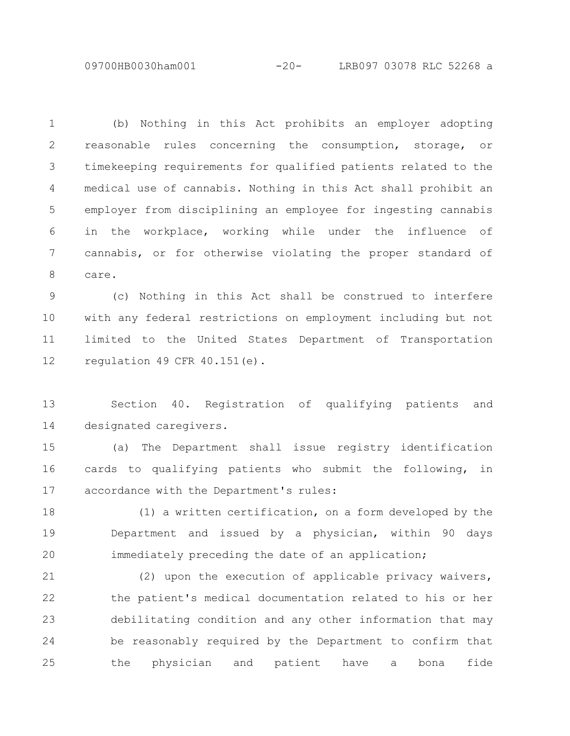09700HB0030ham001 -20- LRB097 03078 RLC 52268 a

(b) Nothing in this Act prohibits an employer adopting reasonable rules concerning the consumption, storage, or timekeeping requirements for qualified patients related to the medical use of cannabis. Nothing in this Act shall prohibit an employer from disciplining an employee for ingesting cannabis in the workplace, working while under the influence of cannabis, or for otherwise violating the proper standard of care. 1 2 3 4 5 6 7 8

(c) Nothing in this Act shall be construed to interfere with any federal restrictions on employment including but not limited to the United States Department of Transportation regulation 49 CFR  $40.151(e)$ . 9 10 11 12

Section 40. Registration of qualifying patients and designated caregivers. 13 14

(a) The Department shall issue registry identification cards to qualifying patients who submit the following, in accordance with the Department's rules: 15 16 17

(1) a written certification, on a form developed by the Department and issued by a physician, within 90 days immediately preceding the date of an application; 18 19 20

(2) upon the execution of applicable privacy waivers, the patient's medical documentation related to his or her debilitating condition and any other information that may be reasonably required by the Department to confirm that the physician and patient have a bona fide 21 22 23 24 25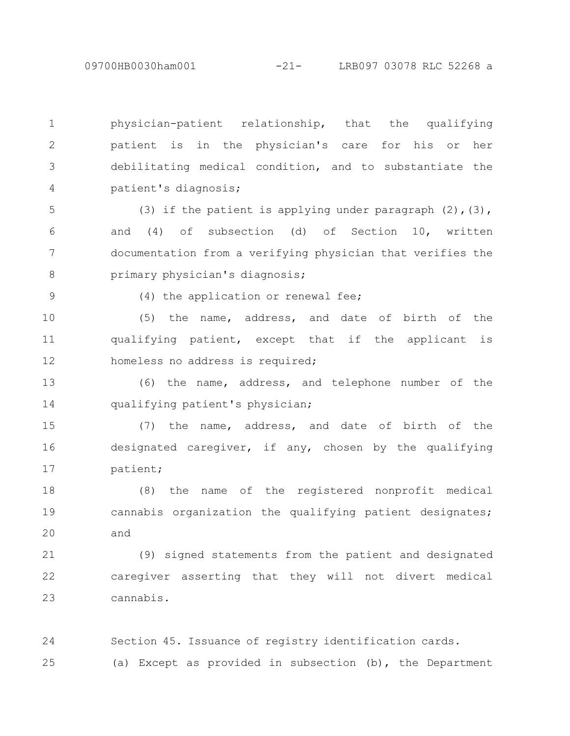physician-patient relationship, that the qualifying patient is in the physician's care for his or her debilitating medical condition, and to substantiate the patient's diagnosis; 1 2 3 4

(3) if the patient is applying under paragraph  $(2)$ ,  $(3)$ , and (4) of subsection (d) of Section 10, written documentation from a verifying physician that verifies the primary physician's diagnosis; 5 6 7 8

9

(4) the application or renewal fee;

(5) the name, address, and date of birth of the qualifying patient, except that if the applicant is homeless no address is required; 10 11 12

(6) the name, address, and telephone number of the qualifying patient's physician; 13 14

(7) the name, address, and date of birth of the designated caregiver, if any, chosen by the qualifying patient; 15 16 17

(8) the name of the registered nonprofit medical cannabis organization the qualifying patient designates; and 18 19 20

(9) signed statements from the patient and designated caregiver asserting that they will not divert medical cannabis. 21 22 23

Section 45. Issuance of registry identification cards. (a) Except as provided in subsection (b), the Department 24 25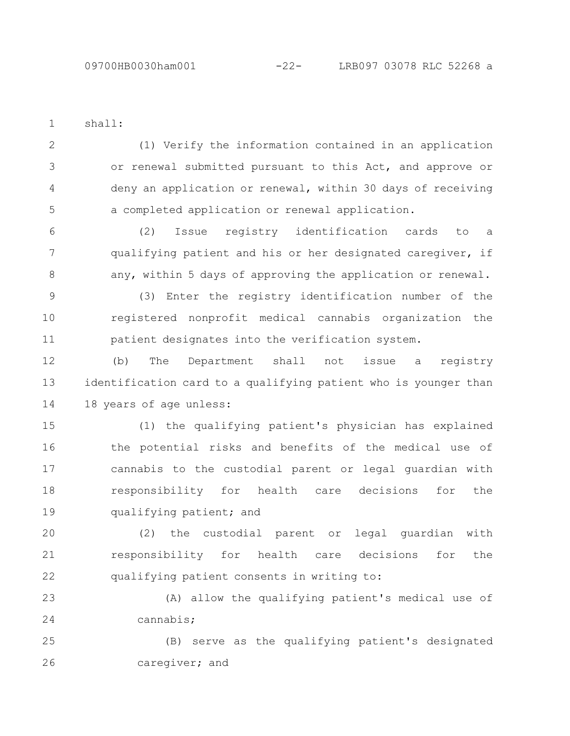shall: 1

(1) Verify the information contained in an application or renewal submitted pursuant to this Act, and approve or deny an application or renewal, within 30 days of receiving a completed application or renewal application. 2 3 4 5

(2) Issue registry identification cards to a qualifying patient and his or her designated caregiver, if any, within 5 days of approving the application or renewal. 6 7 8

(3) Enter the registry identification number of the registered nonprofit medical cannabis organization the patient designates into the verification system. 9 10 11

(b) The Department shall not issue a registry identification card to a qualifying patient who is younger than 18 years of age unless: 12 13 14

(1) the qualifying patient's physician has explained the potential risks and benefits of the medical use of cannabis to the custodial parent or legal guardian with responsibility for health care decisions for the qualifying patient; and 15 16 17 18 19

(2) the custodial parent or legal guardian with responsibility for health care decisions for the qualifying patient consents in writing to: 20 21 22

(A) allow the qualifying patient's medical use of cannabis; 23 24

(B) serve as the qualifying patient's designated caregiver; and 25 26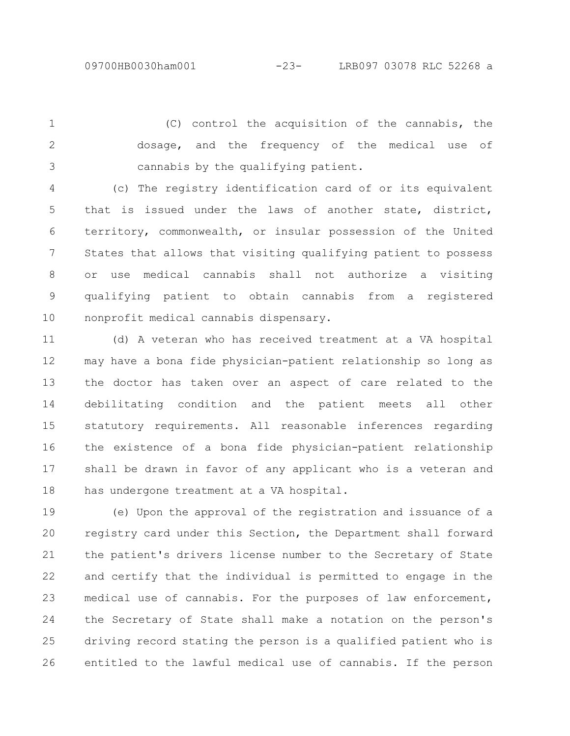(C) control the acquisition of the cannabis, the dosage, and the frequency of the medical use of cannabis by the qualifying patient. 1 2 3

(c) The registry identification card of or its equivalent that is issued under the laws of another state, district, territory, commonwealth, or insular possession of the United States that allows that visiting qualifying patient to possess or use medical cannabis shall not authorize a visiting qualifying patient to obtain cannabis from a registered nonprofit medical cannabis dispensary. 4 5 6 7 8 9 10

(d) A veteran who has received treatment at a VA hospital may have a bona fide physician-patient relationship so long as the doctor has taken over an aspect of care related to the debilitating condition and the patient meets all other statutory requirements. All reasonable inferences regarding the existence of a bona fide physician-patient relationship shall be drawn in favor of any applicant who is a veteran and has undergone treatment at a VA hospital. 11 12 13 14 15 16 17 18

(e) Upon the approval of the registration and issuance of a registry card under this Section, the Department shall forward the patient's drivers license number to the Secretary of State and certify that the individual is permitted to engage in the medical use of cannabis. For the purposes of law enforcement, the Secretary of State shall make a notation on the person's driving record stating the person is a qualified patient who is entitled to the lawful medical use of cannabis. If the person 19 20 21 22 23 24 25 26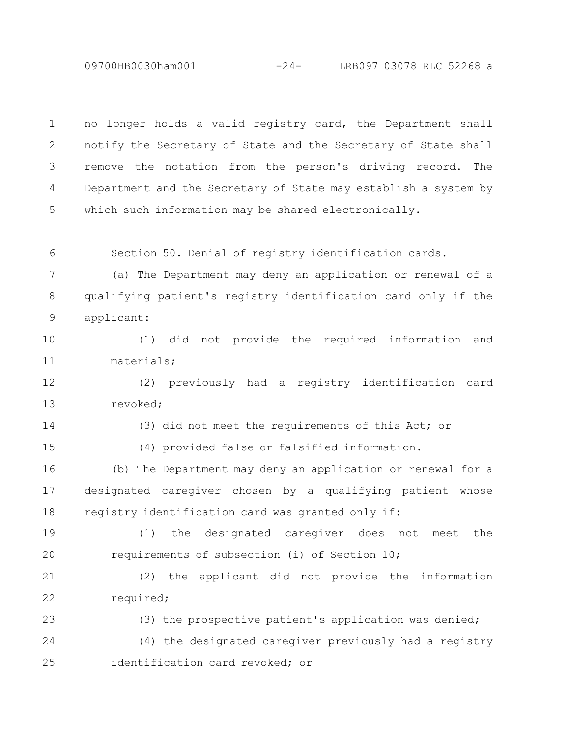09700HB0030ham001 -24- LRB097 03078 RLC 52268 a

no longer holds a valid registry card, the Department shall notify the Secretary of State and the Secretary of State shall remove the notation from the person's driving record. The Department and the Secretary of State may establish a system by which such information may be shared electronically. 1 2 3 4 5

Section 50. Denial of registry identification cards. 6

(a) The Department may deny an application or renewal of a qualifying patient's registry identification card only if the applicant: 7 8 9

(1) did not provide the required information and materials; 10 11

(2) previously had a registry identification card revoked; 12 13

14

(3) did not meet the requirements of this Act; or

15

(4) provided false or falsified information.

(b) The Department may deny an application or renewal for a designated caregiver chosen by a qualifying patient whose registry identification card was granted only if: 16 17 18

(1) the designated caregiver does not meet the requirements of subsection (i) of Section 10; 19 20

(2) the applicant did not provide the information required; 21 22

(3) the prospective patient's application was denied; (4) the designated caregiver previously had a registry identification card revoked; or 23 24 25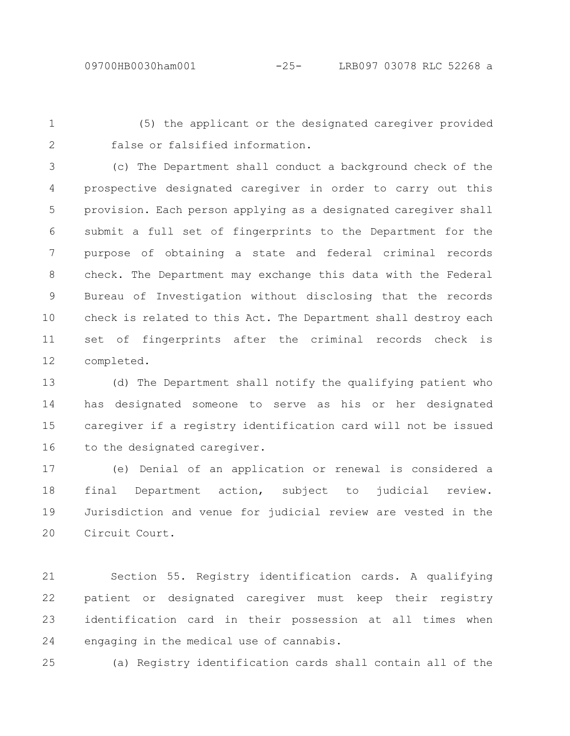1

(5) the applicant or the designated caregiver provided false or falsified information.

2

(c) The Department shall conduct a background check of the prospective designated caregiver in order to carry out this provision. Each person applying as a designated caregiver shall submit a full set of fingerprints to the Department for the purpose of obtaining a state and federal criminal records check. The Department may exchange this data with the Federal Bureau of Investigation without disclosing that the records check is related to this Act. The Department shall destroy each set of fingerprints after the criminal records check is completed. 3 4 5 6 7 8 9 10 11 12

(d) The Department shall notify the qualifying patient who has designated someone to serve as his or her designated caregiver if a registry identification card will not be issued to the designated caregiver. 13 14 15 16

(e) Denial of an application or renewal is considered a final Department action, subject to judicial review. Jurisdiction and venue for judicial review are vested in the Circuit Court. 17 18 19 20

Section 55. Registry identification cards. A qualifying patient or designated caregiver must keep their registry identification card in their possession at all times when engaging in the medical use of cannabis. 21 22 23 24

(a) Registry identification cards shall contain all of the 25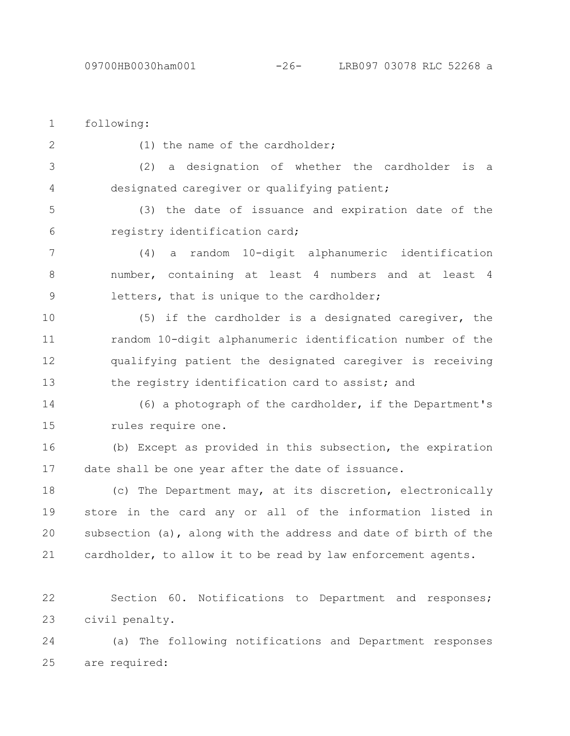civil penalty. 23

| $\mathbf 1$   | following:                                                         |
|---------------|--------------------------------------------------------------------|
| 2             | (1) the name of the cardholder;                                    |
| 3             | a designation of whether the cardholder<br>(2)<br>is<br>a          |
| 4             | designated caregiver or qualifying patient;                        |
| 5             | (3) the date of issuance and expiration date of the                |
| 6             | registry identification card;                                      |
| 7             | random 10-digit alphanumeric identification<br>(4)<br>a            |
| $8\,$         | number, containing at least 4 numbers and at least 4               |
| $\mathcal{G}$ | letters, that is unique to the cardholder;                         |
| 10            | (5) if the cardholder is a designated caregiver, the               |
| 11            | random 10-digit alphanumeric identification number of the          |
| 12            | qualifying patient the designated caregiver is receiving           |
| 13            | the registry identification card to assist; and                    |
| 14            | (6) a photograph of the cardholder, if the Department's            |
| 15            | rules require one.                                                 |
| 16            | (b) Except as provided in this subsection, the expiration          |
| 17            | date shall be one year after the date of issuance.                 |
| 18            | (c) The Department may, at its discretion, electronically          |
| 19            | store in the card any or all of the information listed in          |
| 20            | subsection (a), along with the address and date of birth of the    |
| 21            | cardholder, to allow it to be read by law enforcement agents.      |
| 22            | Section 60.<br>Notifications<br>Department and<br>to<br>responses; |

(a) The following notifications and Department responses are required: 25 24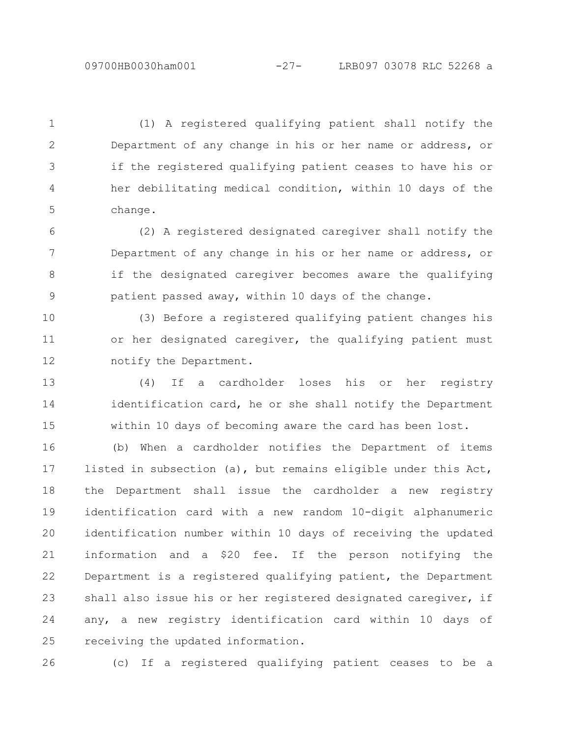(1) A registered qualifying patient shall notify the Department of any change in his or her name or address, or if the registered qualifying patient ceases to have his or her debilitating medical condition, within 10 days of the change. 1 2 3 4 5

(2) A registered designated caregiver shall notify the Department of any change in his or her name or address, or if the designated caregiver becomes aware the qualifying patient passed away, within 10 days of the change. 6 7 8 9

(3) Before a registered qualifying patient changes his or her designated caregiver, the qualifying patient must notify the Department. 10 11 12

(4) If a cardholder loses his or her registry identification card, he or she shall notify the Department within 10 days of becoming aware the card has been lost. 13 14 15

(b) When a cardholder notifies the Department of items listed in subsection (a), but remains eligible under this Act, the Department shall issue the cardholder a new registry identification card with a new random 10-digit alphanumeric identification number within 10 days of receiving the updated information and a \$20 fee. If the person notifying the Department is a registered qualifying patient, the Department shall also issue his or her registered designated caregiver, if any, a new registry identification card within 10 days of receiving the updated information. 16 17 18 19 20 21 22 23 24 25

26

(c) If a registered qualifying patient ceases to be a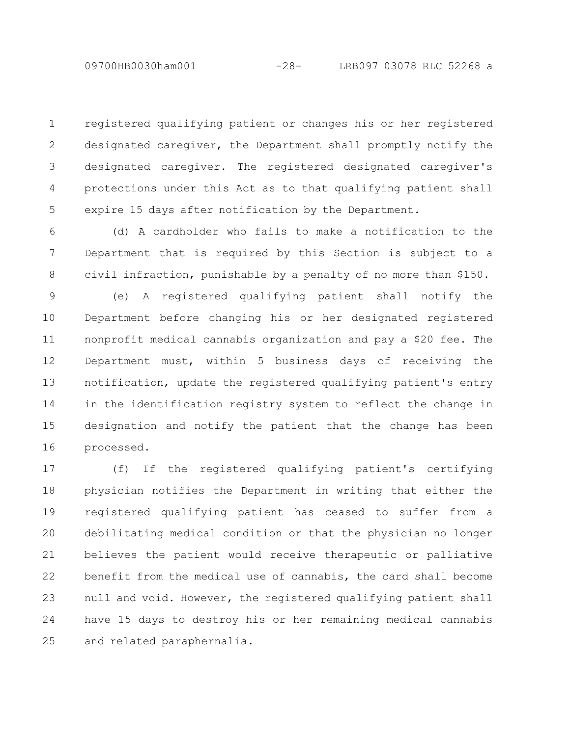registered qualifying patient or changes his or her registered designated caregiver, the Department shall promptly notify the designated caregiver. The registered designated caregiver's protections under this Act as to that qualifying patient shall expire 15 days after notification by the Department. 1 2 3 4 5

(d) A cardholder who fails to make a notification to the Department that is required by this Section is subject to a civil infraction, punishable by a penalty of no more than \$150. 6 7 8

(e) A registered qualifying patient shall notify the Department before changing his or her designated registered nonprofit medical cannabis organization and pay a \$20 fee. The Department must, within 5 business days of receiving the notification, update the registered qualifying patient's entry in the identification registry system to reflect the change in designation and notify the patient that the change has been processed. 9 10 11 12 13 14 15 16

(f) If the registered qualifying patient's certifying physician notifies the Department in writing that either the registered qualifying patient has ceased to suffer from a debilitating medical condition or that the physician no longer believes the patient would receive therapeutic or palliative benefit from the medical use of cannabis, the card shall become null and void. However, the registered qualifying patient shall have 15 days to destroy his or her remaining medical cannabis and related paraphernalia. 17 18 19 20 21 22 23 24 25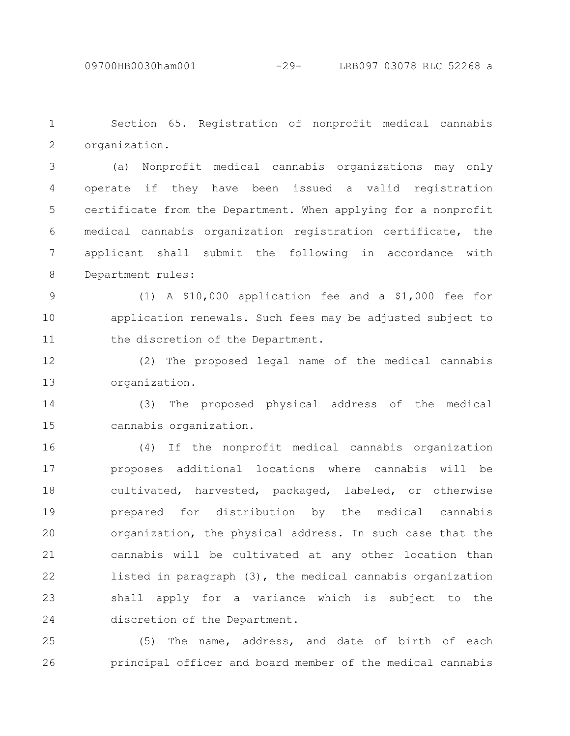Section 65. Registration of nonprofit medical cannabis organization. 1 2

(a) Nonprofit medical cannabis organizations may only operate if they have been issued a valid registration certificate from the Department. When applying for a nonprofit medical cannabis organization registration certificate, the applicant shall submit the following in accordance with Department rules: 3 4 5 6 7 8

(1) A \$10,000 application fee and a \$1,000 fee for application renewals. Such fees may be adjusted subject to the discretion of the Department. 9 10 11

(2) The proposed legal name of the medical cannabis organization. 12 13

(3) The proposed physical address of the medical cannabis organization. 14 15

(4) If the nonprofit medical cannabis organization proposes additional locations where cannabis will be cultivated, harvested, packaged, labeled, or otherwise prepared for distribution by the medical cannabis organization, the physical address. In such case that the cannabis will be cultivated at any other location than listed in paragraph (3), the medical cannabis organization shall apply for a variance which is subject to the discretion of the Department. 16 17 18 19 20 21 22 23 24

(5) The name, address, and date of birth of each principal officer and board member of the medical cannabis 25 26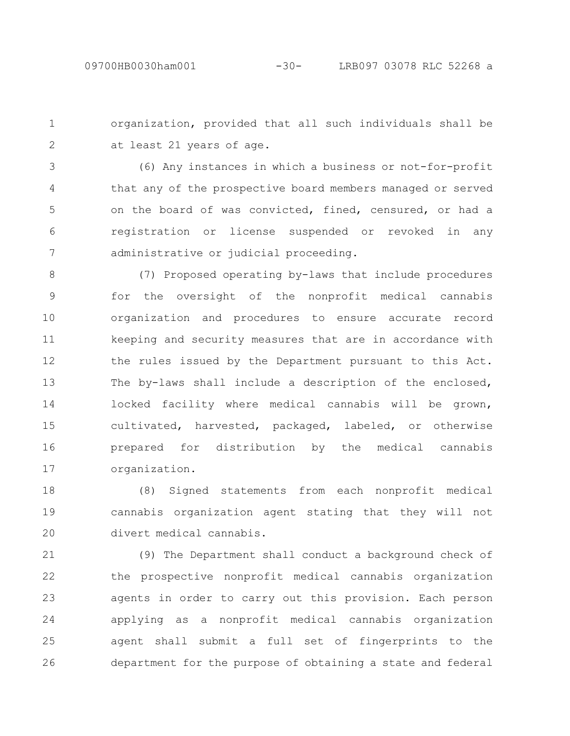organization, provided that all such individuals shall be at least 21 years of age. 1 2

(6) Any instances in which a business or not-for-profit that any of the prospective board members managed or served on the board of was convicted, fined, censured, or had a registration or license suspended or revoked in any administrative or judicial proceeding. 3 4 5 6 7

(7) Proposed operating by-laws that include procedures for the oversight of the nonprofit medical cannabis organization and procedures to ensure accurate record keeping and security measures that are in accordance with the rules issued by the Department pursuant to this Act. The by-laws shall include a description of the enclosed, locked facility where medical cannabis will be grown, cultivated, harvested, packaged, labeled, or otherwise prepared for distribution by the medical cannabis organization. 8 9 10 11 12 13 14 15 16 17

(8) Signed statements from each nonprofit medical cannabis organization agent stating that they will not divert medical cannabis. 18 19 20

(9) The Department shall conduct a background check of the prospective nonprofit medical cannabis organization agents in order to carry out this provision. Each person applying as a nonprofit medical cannabis organization agent shall submit a full set of fingerprints to the department for the purpose of obtaining a state and federal 21 22 23 24 25 26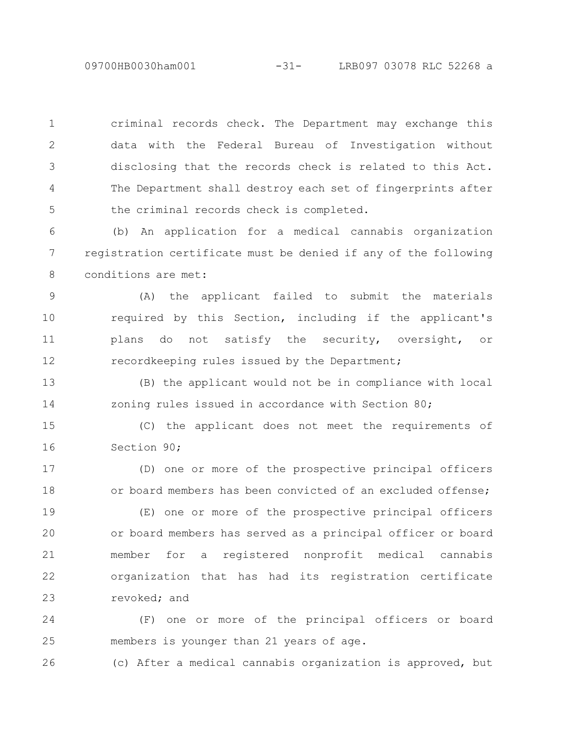09700HB0030ham001 -31- LRB097 03078 RLC 52268 a

criminal records check. The Department may exchange this data with the Federal Bureau of Investigation without disclosing that the records check is related to this Act. The Department shall destroy each set of fingerprints after the criminal records check is completed. 1 2 3 4 5

(b) An application for a medical cannabis organization registration certificate must be denied if any of the following conditions are met: 6 7 8

(A) the applicant failed to submit the materials required by this Section, including if the applicant's plans do not satisfy the security, oversight, or recordkeeping rules issued by the Department; 9 10 11 12

(B) the applicant would not be in compliance with local zoning rules issued in accordance with Section 80; 13 14

(C) the applicant does not meet the requirements of Section 90; 15 16

(D) one or more of the prospective principal officers or board members has been convicted of an excluded offense; 17 18

(E) one or more of the prospective principal officers or board members has served as a principal officer or board member for a registered nonprofit medical cannabis organization that has had its registration certificate revoked; and 19 20 21 22 23

(F) one or more of the principal officers or board members is younger than 21 years of age. 24 25

(c) After a medical cannabis organization is approved, but 26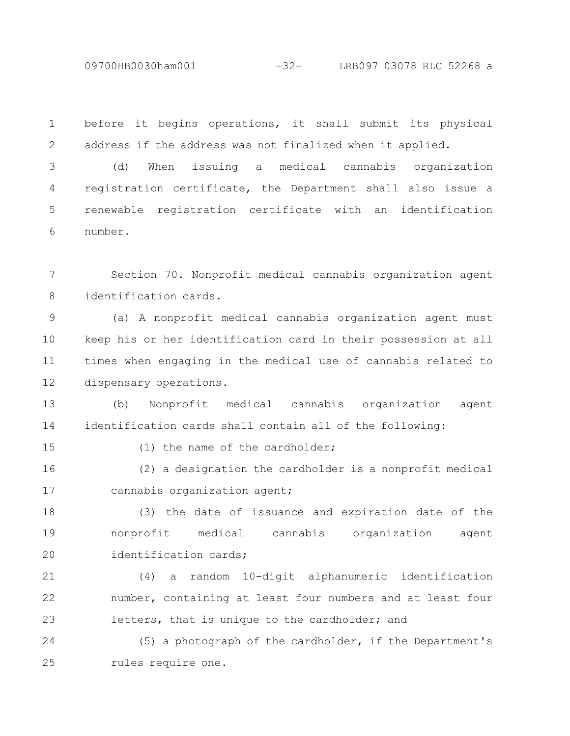09700HB0030ham001 -32- LRB097 03078 RLC 52268 a

before it begins operations, it shall submit its physical address if the address was not finalized when it applied. 1 2

(d) When issuing a medical cannabis organization registration certificate, the Department shall also issue a renewable registration certificate with an identification number. 3 4 5 6

Section 70. Nonprofit medical cannabis organization agent identification cards. 7 8

(a) A nonprofit medical cannabis organization agent must keep his or her identification card in their possession at all times when engaging in the medical use of cannabis related to dispensary operations. 9 10 11 12

(b) Nonprofit medical cannabis organization agent identification cards shall contain all of the following: 13 14

15

(1) the name of the cardholder;

(2) a designation the cardholder is a nonprofit medical cannabis organization agent; 16 17

(3) the date of issuance and expiration date of the nonprofit medical cannabis organization agent identification cards; 18 19 20

(4) a random 10-digit alphanumeric identification number, containing at least four numbers and at least four letters, that is unique to the cardholder; and 21 22 23

(5) a photograph of the cardholder, if the Department's rules require one. 24 25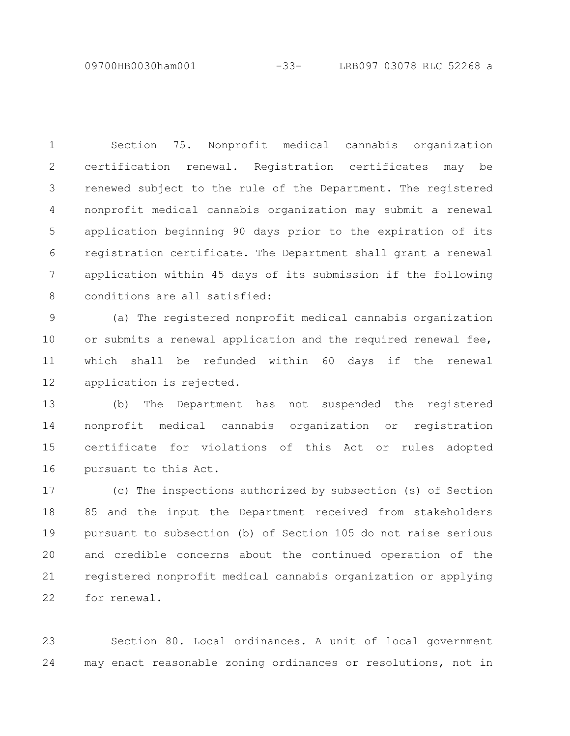09700HB0030ham001 -33- LRB097 03078 RLC 52268 a

Section 75. Nonprofit medical cannabis organization certification renewal. Registration certificates may be renewed subject to the rule of the Department. The registered nonprofit medical cannabis organization may submit a renewal application beginning 90 days prior to the expiration of its registration certificate. The Department shall grant a renewal application within 45 days of its submission if the following conditions are all satisfied: 1 2 3 4 5 6 7 8

(a) The registered nonprofit medical cannabis organization or submits a renewal application and the required renewal fee, which shall be refunded within 60 days if the renewal application is rejected. 9 10 11 12

(b) The Department has not suspended the registered nonprofit medical cannabis organization or registration certificate for violations of this Act or rules adopted pursuant to this Act. 13 14 15 16

(c) The inspections authorized by subsection (s) of Section 85 and the input the Department received from stakeholders pursuant to subsection (b) of Section 105 do not raise serious and credible concerns about the continued operation of the registered nonprofit medical cannabis organization or applying for renewal. 17 18 19 20 21 22

Section 80. Local ordinances. A unit of local government may enact reasonable zoning ordinances or resolutions, not in 23 24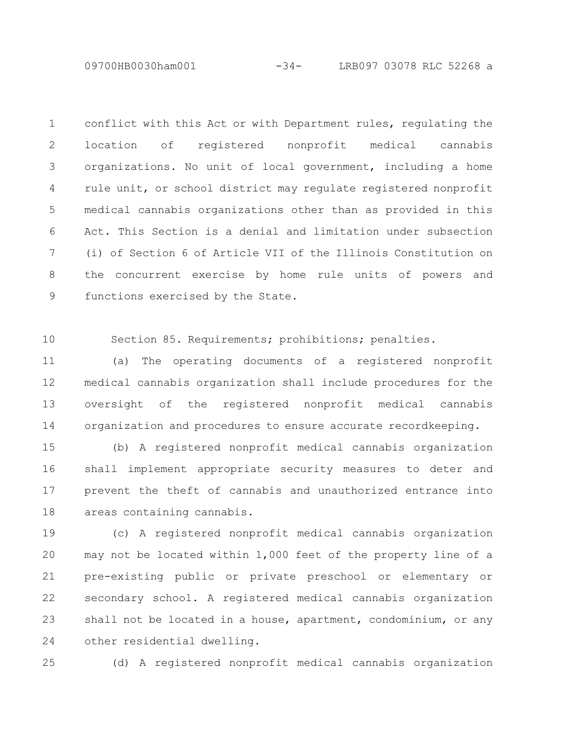09700HB0030ham001 -34- LRB097 03078 RLC 52268 a

conflict with this Act or with Department rules, regulating the location of registered nonprofit medical cannabis organizations. No unit of local government, including a home rule unit, or school district may regulate registered nonprofit medical cannabis organizations other than as provided in this Act. This Section is a denial and limitation under subsection (i) of Section 6 of Article VII of the Illinois Constitution on the concurrent exercise by home rule units of powers and functions exercised by the State. 1 2 3 4 5 6 7 8 9

Section 85. Requirements; prohibitions; penalties. 10

(a) The operating documents of a registered nonprofit medical cannabis organization shall include procedures for the oversight of the registered nonprofit medical cannabis organization and procedures to ensure accurate recordkeeping. 11 12 13 14

(b) A registered nonprofit medical cannabis organization shall implement appropriate security measures to deter and prevent the theft of cannabis and unauthorized entrance into areas containing cannabis. 15 16 17 18

(c) A registered nonprofit medical cannabis organization may not be located within 1,000 feet of the property line of a pre-existing public or private preschool or elementary or secondary school. A registered medical cannabis organization shall not be located in a house, apartment, condominium, or any other residential dwelling. 19 20 21 22 23 24

25

(d) A registered nonprofit medical cannabis organization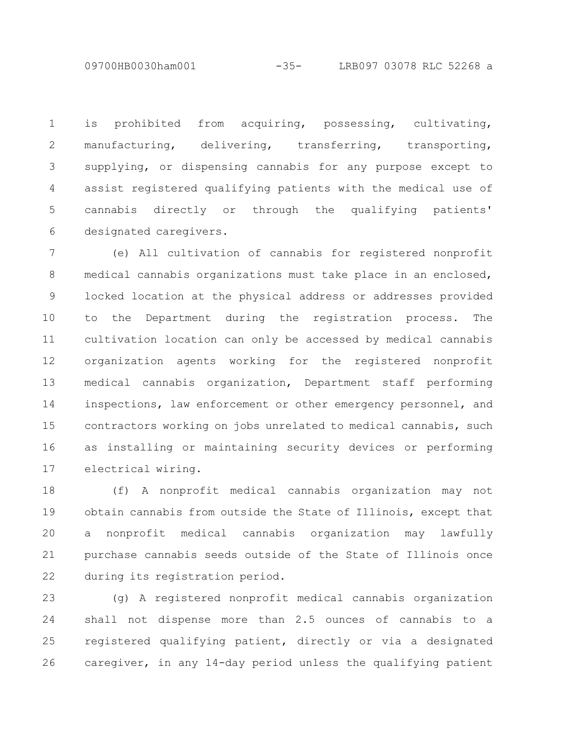09700HB0030ham001 -35- LRB097 03078 RLC 52268 a

is prohibited from acquiring, possessing, cultivating, manufacturing, delivering, transferring, transporting, supplying, or dispensing cannabis for any purpose except to assist registered qualifying patients with the medical use of cannabis directly or through the qualifying patients' designated caregivers. 1 2 3 4 5 6

(e) All cultivation of cannabis for registered nonprofit medical cannabis organizations must take place in an enclosed, locked location at the physical address or addresses provided to the Department during the registration process. The cultivation location can only be accessed by medical cannabis organization agents working for the registered nonprofit medical cannabis organization, Department staff performing inspections, law enforcement or other emergency personnel, and contractors working on jobs unrelated to medical cannabis, such as installing or maintaining security devices or performing electrical wiring. 7 8 9 10 11 12 13 14 15 16 17

(f) A nonprofit medical cannabis organization may not obtain cannabis from outside the State of Illinois, except that a nonprofit medical cannabis organization may lawfully purchase cannabis seeds outside of the State of Illinois once during its registration period. 18 19 20 21 22

(g) A registered nonprofit medical cannabis organization shall not dispense more than 2.5 ounces of cannabis to a registered qualifying patient, directly or via a designated caregiver, in any 14-day period unless the qualifying patient 23 24 25 26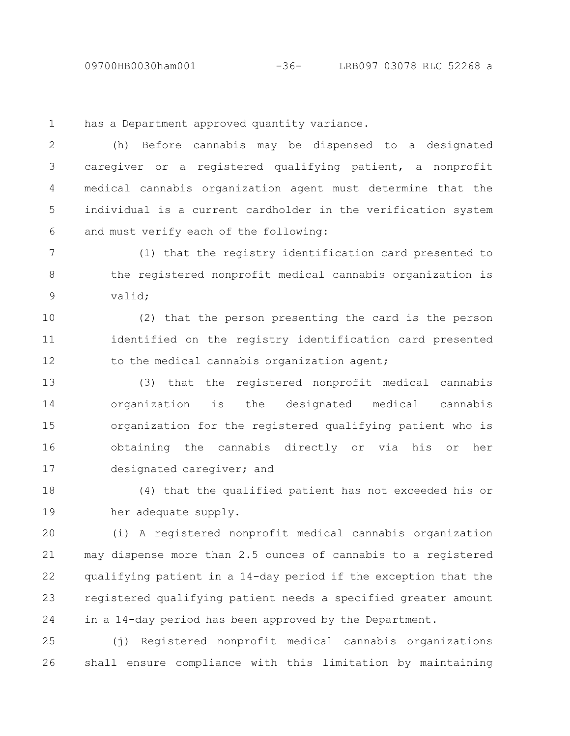09700HB0030ham001 -36- LRB097 03078 RLC 52268 a

has a Department approved quantity variance. 1

(h) Before cannabis may be dispensed to a designated caregiver or a registered qualifying patient, a nonprofit medical cannabis organization agent must determine that the individual is a current cardholder in the verification system and must verify each of the following: 2 3 4 5 6

(1) that the registry identification card presented to the registered nonprofit medical cannabis organization is valid; 7 8 9

(2) that the person presenting the card is the person identified on the registry identification card presented to the medical cannabis organization agent; 10 11 12

(3) that the registered nonprofit medical cannabis organization is the designated medical cannabis organization for the registered qualifying patient who is obtaining the cannabis directly or via his or her designated caregiver; and 13 14 15 16 17

(4) that the qualified patient has not exceeded his or her adequate supply. 18 19

(i) A registered nonprofit medical cannabis organization may dispense more than 2.5 ounces of cannabis to a registered qualifying patient in a 14-day period if the exception that the registered qualifying patient needs a specified greater amount in a 14-day period has been approved by the Department. 20 21 22 23 24

(j) Registered nonprofit medical cannabis organizations shall ensure compliance with this limitation by maintaining 25 26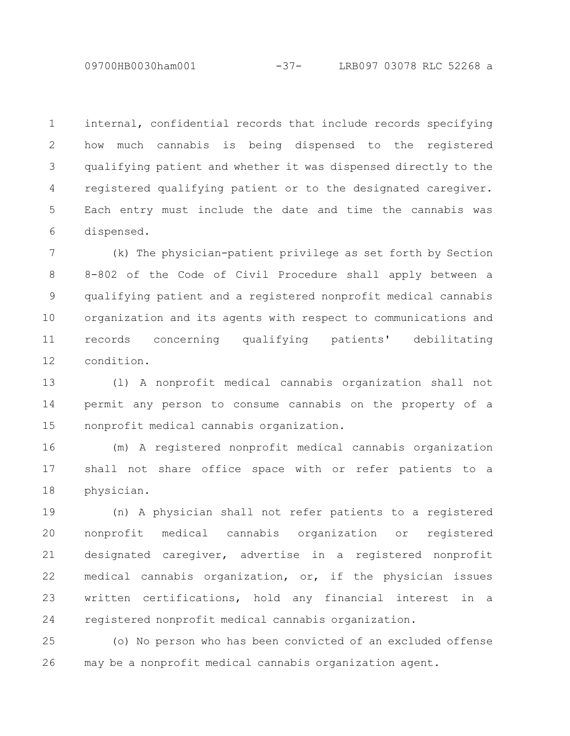internal, confidential records that include records specifying how much cannabis is being dispensed to the registered qualifying patient and whether it was dispensed directly to the registered qualifying patient or to the designated caregiver. Each entry must include the date and time the cannabis was dispensed. 1 2 3 4 5 6

(k) The physician-patient privilege as set forth by Section 8-802 of the Code of Civil Procedure shall apply between a qualifying patient and a registered nonprofit medical cannabis organization and its agents with respect to communications and records concerning qualifying patients' debilitating condition. 7 8 9 10 11 12

(l) A nonprofit medical cannabis organization shall not permit any person to consume cannabis on the property of a nonprofit medical cannabis organization. 13 14 15

(m) A registered nonprofit medical cannabis organization shall not share office space with or refer patients to a physician. 16 17 18

(n) A physician shall not refer patients to a registered nonprofit medical cannabis organization or registered designated caregiver, advertise in a registered nonprofit medical cannabis organization, or, if the physician issues written certifications, hold any financial interest in a registered nonprofit medical cannabis organization. 19 20 21 22 23 24

(o) No person who has been convicted of an excluded offense may be a nonprofit medical cannabis organization agent. 25 26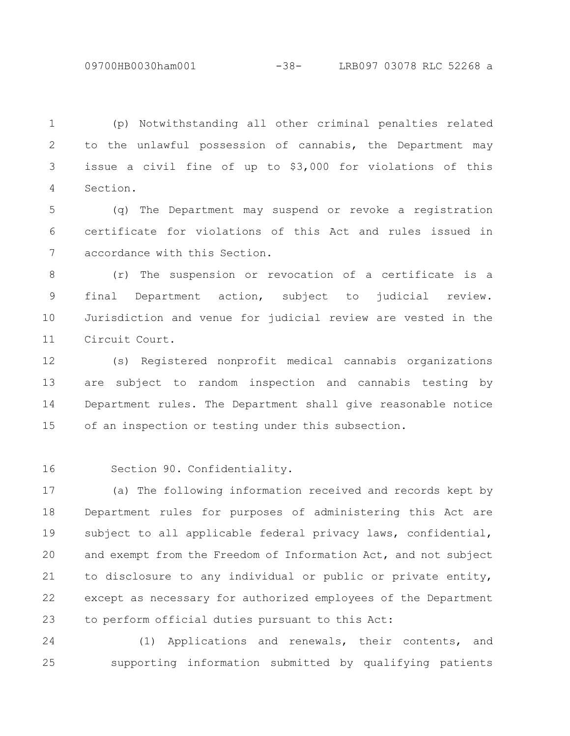09700HB0030ham001 -38- LRB097 03078 RLC 52268 a

(p) Notwithstanding all other criminal penalties related to the unlawful possession of cannabis, the Department may issue a civil fine of up to \$3,000 for violations of this Section. 1 2 3 4

(q) The Department may suspend or revoke a registration certificate for violations of this Act and rules issued in accordance with this Section. 5 6 7

(r) The suspension or revocation of a certificate is a final Department action, subject to judicial review. Jurisdiction and venue for judicial review are vested in the Circuit Court. 8 9 10 11

(s) Registered nonprofit medical cannabis organizations are subject to random inspection and cannabis testing by Department rules. The Department shall give reasonable notice of an inspection or testing under this subsection. 12 13 14 15

16

Section 90. Confidentiality.

(a) The following information received and records kept by Department rules for purposes of administering this Act are subject to all applicable federal privacy laws, confidential, and exempt from the Freedom of Information Act, and not subject to disclosure to any individual or public or private entity, except as necessary for authorized employees of the Department to perform official duties pursuant to this Act: 17 18 19 20 21 22 23

(1) Applications and renewals, their contents, and supporting information submitted by qualifying patients 24 25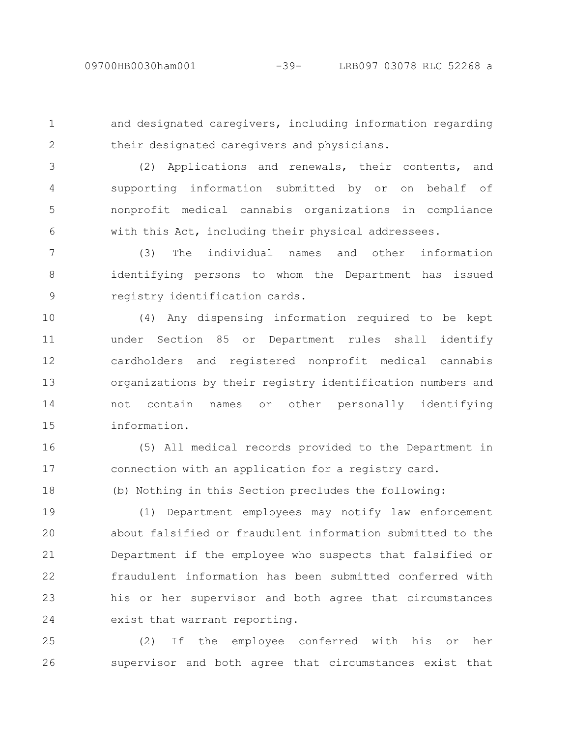1

2

18

and designated caregivers, including information regarding their designated caregivers and physicians.

(2) Applications and renewals, their contents, and supporting information submitted by or on behalf of nonprofit medical cannabis organizations in compliance with this Act, including their physical addressees. 3 4 5 6

(3) The individual names and other information identifying persons to whom the Department has issued registry identification cards. 7 8 9

(4) Any dispensing information required to be kept under Section 85 or Department rules shall identify cardholders and registered nonprofit medical cannabis organizations by their registry identification numbers and not contain names or other personally identifying information. 10 11 12 13 14 15

(5) All medical records provided to the Department in connection with an application for a registry card. 16 17

(b) Nothing in this Section precludes the following:

(1) Department employees may notify law enforcement about falsified or fraudulent information submitted to the Department if the employee who suspects that falsified or fraudulent information has been submitted conferred with his or her supervisor and both agree that circumstances exist that warrant reporting. 19 20 21 22 23 24

(2) If the employee conferred with his or her supervisor and both agree that circumstances exist that 25 26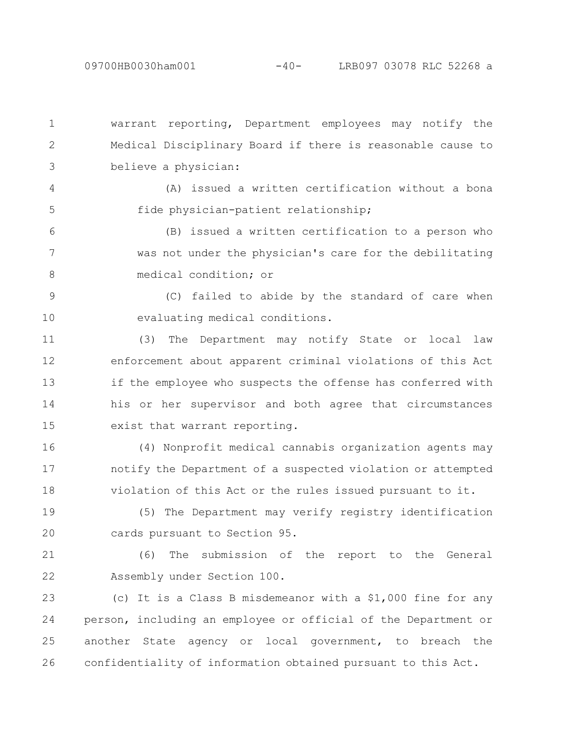warrant reporting, Department employees may notify the Medical Disciplinary Board if there is reasonable cause to believe a physician: 1 2 3

(A) issued a written certification without a bona fide physician-patient relationship; 4 5

(B) issued a written certification to a person who was not under the physician's care for the debilitating medical condition; or 6 7 8

(C) failed to abide by the standard of care when evaluating medical conditions. 9 10

(3) The Department may notify State or local law enforcement about apparent criminal violations of this Act if the employee who suspects the offense has conferred with his or her supervisor and both agree that circumstances exist that warrant reporting. 11 12 13 14 15

(4) Nonprofit medical cannabis organization agents may notify the Department of a suspected violation or attempted violation of this Act or the rules issued pursuant to it. 16 17 18

(5) The Department may verify registry identification cards pursuant to Section 95. 19 20

(6) The submission of the report to the General Assembly under Section 100. 21 22

(c) It is a Class B misdemeanor with a \$1,000 fine for any person, including an employee or official of the Department or another State agency or local government, to breach the confidentiality of information obtained pursuant to this Act. 23 24 25 26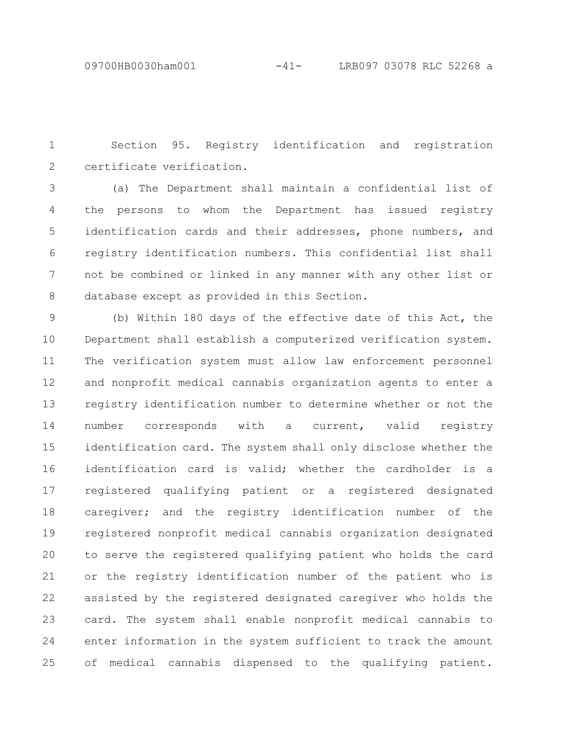Section 95. Registry identification and registration certificate verification. 1 2

(a) The Department shall maintain a confidential list of the persons to whom the Department has issued registry identification cards and their addresses, phone numbers, and registry identification numbers. This confidential list shall not be combined or linked in any manner with any other list or database except as provided in this Section. 3 4 5 6 7 8

(b) Within 180 days of the effective date of this Act, the Department shall establish a computerized verification system. The verification system must allow law enforcement personnel and nonprofit medical cannabis organization agents to enter a registry identification number to determine whether or not the number corresponds with a current, valid registry identification card. The system shall only disclose whether the identification card is valid; whether the cardholder is a registered qualifying patient or a registered designated caregiver; and the registry identification number of the registered nonprofit medical cannabis organization designated to serve the registered qualifying patient who holds the card or the registry identification number of the patient who is assisted by the registered designated caregiver who holds the card. The system shall enable nonprofit medical cannabis to enter information in the system sufficient to track the amount of medical cannabis dispensed to the qualifying patient. 9 10 11 12 13 14 15 16 17 18 19 20 21 22 23 24 25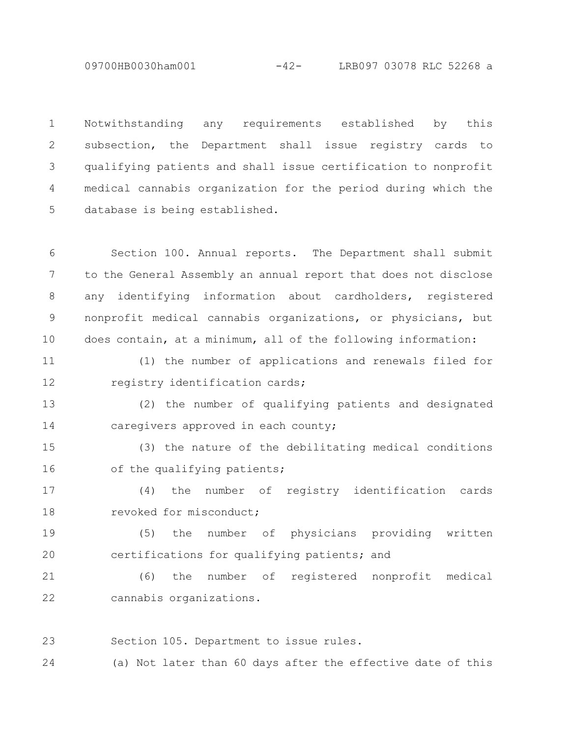09700HB0030ham001 -42- LRB097 03078 RLC 52268 a

Notwithstanding any requirements established by this subsection, the Department shall issue registry cards to qualifying patients and shall issue certification to nonprofit medical cannabis organization for the period during which the database is being established. 1 2 3 4 5

Section 100. Annual reports. The Department shall submit to the General Assembly an annual report that does not disclose any identifying information about cardholders, registered nonprofit medical cannabis organizations, or physicians, but does contain, at a minimum, all of the following information: 6 7 8 9 10

(1) the number of applications and renewals filed for registry identification cards; 11 12

(2) the number of qualifying patients and designated caregivers approved in each county; 13 14

(3) the nature of the debilitating medical conditions of the qualifying patients; 15 16

(4) the number of registry identification cards revoked for misconduct; 17 18

(5) the number of physicians providing written certifications for qualifying patients; and 19 20

(6) the number of registered nonprofit medical cannabis organizations. 21 22

Section 105. Department to issue rules. 23

(a) Not later than 60 days after the effective date of this 24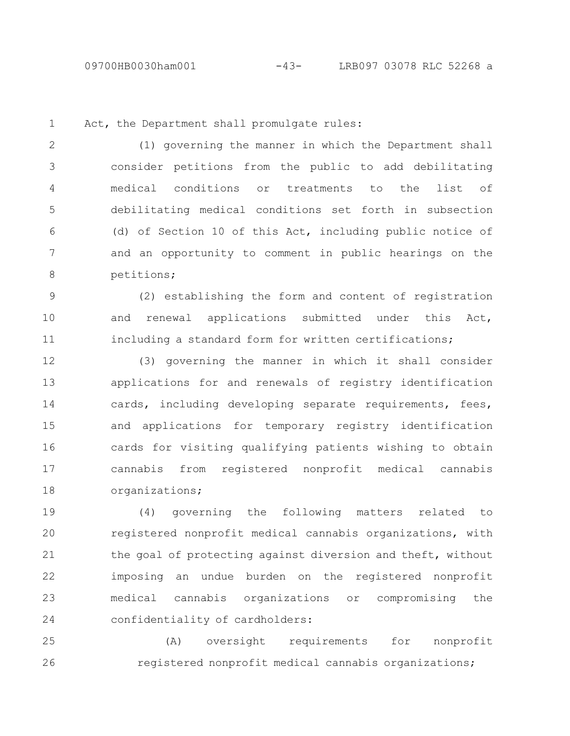1

Act, the Department shall promulgate rules:

(1) governing the manner in which the Department shall consider petitions from the public to add debilitating medical conditions or treatments to the list of debilitating medical conditions set forth in subsection (d) of Section 10 of this Act, including public notice of and an opportunity to comment in public hearings on the petitions; 2 3 4 5 6 7 8

(2) establishing the form and content of registration and renewal applications submitted under this Act, including a standard form for written certifications; 9 10 11

(3) governing the manner in which it shall consider applications for and renewals of registry identification cards, including developing separate requirements, fees, and applications for temporary registry identification cards for visiting qualifying patients wishing to obtain cannabis from registered nonprofit medical cannabis organizations; 12 13 14 15 16 17 18

(4) governing the following matters related to registered nonprofit medical cannabis organizations, with the goal of protecting against diversion and theft, without imposing an undue burden on the registered nonprofit medical cannabis organizations or compromising the confidentiality of cardholders: 19 20 21 22 23 24

(A) oversight requirements for nonprofit registered nonprofit medical cannabis organizations; 25 26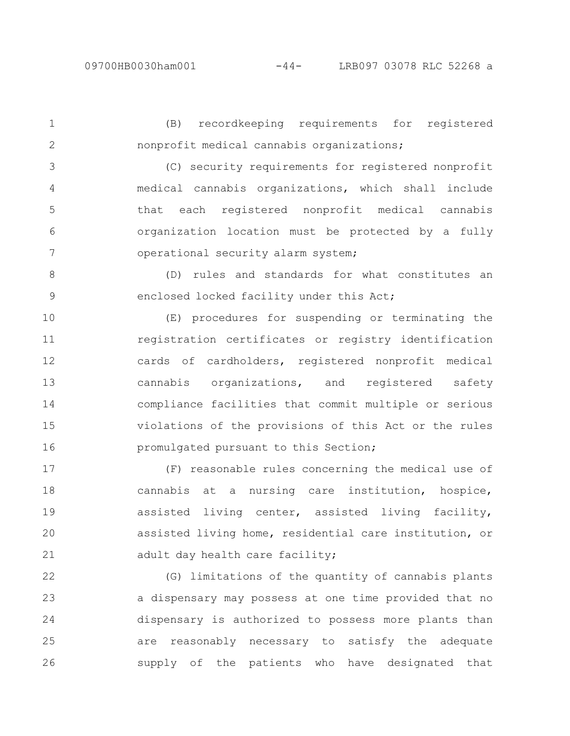(B) recordkeeping requirements for registered nonprofit medical cannabis organizations; 1 2

(C) security requirements for registered nonprofit medical cannabis organizations, which shall include that each registered nonprofit medical cannabis organization location must be protected by a fully operational security alarm system; 3 4 5 6 7

(D) rules and standards for what constitutes an enclosed locked facility under this Act; 8 9

(E) procedures for suspending or terminating the registration certificates or registry identification cards of cardholders, registered nonprofit medical cannabis organizations, and registered safety compliance facilities that commit multiple or serious violations of the provisions of this Act or the rules promulgated pursuant to this Section; 10 11 12 13 14 15 16

(F) reasonable rules concerning the medical use of cannabis at a nursing care institution, hospice, assisted living center, assisted living facility, assisted living home, residential care institution, or adult day health care facility; 17 18 19 20 21

(G) limitations of the quantity of cannabis plants a dispensary may possess at one time provided that no dispensary is authorized to possess more plants than are reasonably necessary to satisfy the adequate supply of the patients who have designated that 22 23 24 25 26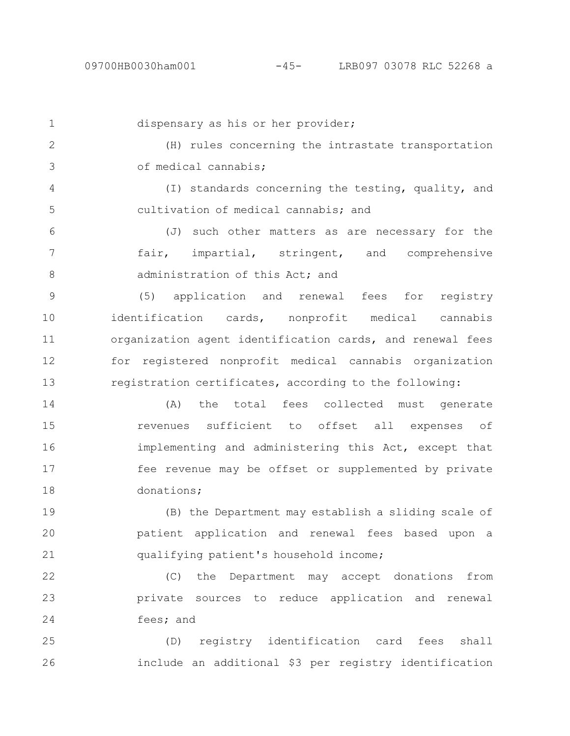| $\mathbf{1}$  | dispensary as his or her provider;                        |
|---------------|-----------------------------------------------------------|
| $\mathbf{2}$  | (H) rules concerning the intrastate transportation        |
| 3             | of medical cannabis;                                      |
| 4             | (I) standards concerning the testing, quality, and        |
| 5             | cultivation of medical cannabis; and                      |
| 6             | such other matters as are necessary for the<br>(J)        |
| 7             | fair, impartial, stringent, and comprehensive             |
| $8\,$         | administration of this Act; and                           |
| $\mathcal{G}$ | (5) application and renewal fees for registry             |
| 10            | identification cards, nonprofit medical cannabis          |
| 11            | organization agent identification cards, and renewal fees |
| 12            | for registered nonprofit medical cannabis organization    |
| 13            | registration certificates, according to the following:    |
| 14            | (A) the total fees collected must generate                |
| 15            | revenues sufficient to offset all expenses of             |
| 16            | implementing and administering this Act, except that      |
| 17            | fee revenue may be offset or supplemented by private      |
| 18            | donations;                                                |
| 19            | (B) the Department may establish a sliding scale of       |
| 20            | patient application and renewal fees based upon a         |
| 21            | qualifying patient's household income;                    |
| 22            | the Department may accept donations from<br>(C)           |
| 23            | private sources to reduce application and renewal         |
| 24            | fees; and                                                 |
|               |                                                           |

(D) registry identification card fees shall include an additional \$3 per registry identification 26 25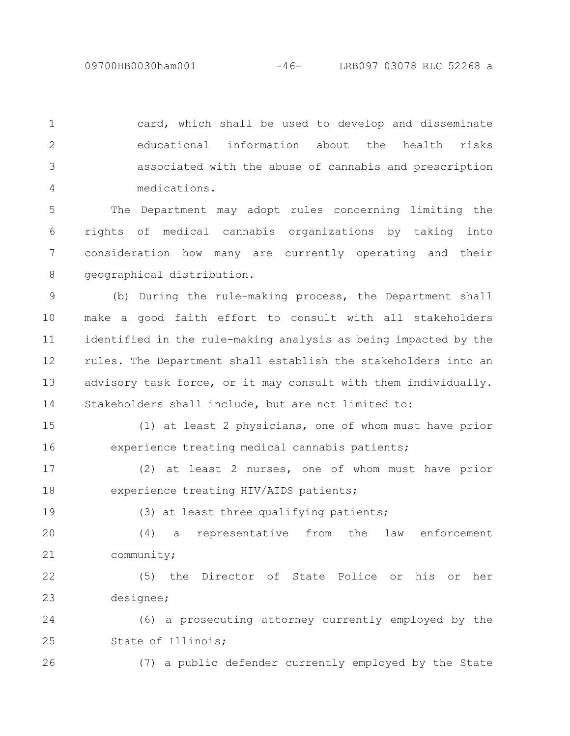card, which shall be used to develop and disseminate educational information about the health risks associated with the abuse of cannabis and prescription medications. 1 2 3 4

The Department may adopt rules concerning limiting the rights of medical cannabis organizations by taking into consideration how many are currently operating and their geographical distribution. 5 6 7 8

(b) During the rule-making process, the Department shall make a good faith effort to consult with all stakeholders identified in the rule-making analysis as being impacted by the rules. The Department shall establish the stakeholders into an advisory task force, or it may consult with them individually. Stakeholders shall include, but are not limited to: 9 10 11 12 13 14

(1) at least 2 physicians, one of whom must have prior experience treating medical cannabis patients; 15 16

(2) at least 2 nurses, one of whom must have prior experience treating HIV/AIDS patients; 17 18

19

(3) at least three qualifying patients;

(4) a representative from the law enforcement community; 20 21

(5) the Director of State Police or his or her designee; 22 23

(6) a prosecuting attorney currently employed by the State of Illinois; 24 25

26

(7) a public defender currently employed by the State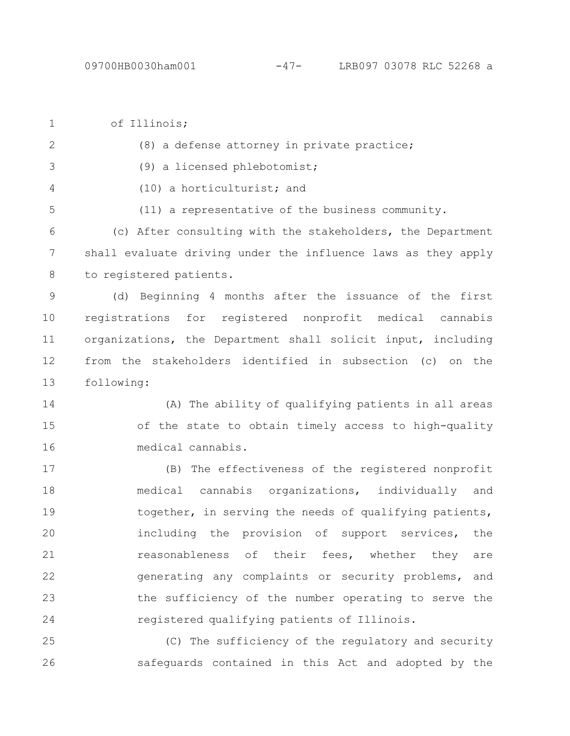of Illinois; (8) a defense attorney in private practice; (9) a licensed phlebotomist; (10) a horticulturist; and (11) a representative of the business community. (c) After consulting with the stakeholders, the Department shall evaluate driving under the influence laws as they apply to registered patients. (d) Beginning 4 months after the issuance of the first registrations for registered nonprofit medical cannabis organizations, the Department shall solicit input, including from the stakeholders identified in subsection (c) on the following: (A) The ability of qualifying patients in all areas of the state to obtain timely access to high-quality medical cannabis. (B) The effectiveness of the registered nonprofit medical cannabis organizations, individually and together, in serving the needs of qualifying patients, including the provision of support services, the reasonableness of their fees, whether they are generating any complaints or security problems, and the sufficiency of the number operating to serve the registered qualifying patients of Illinois. (C) The sufficiency of the regulatory and security safeguards contained in this Act and adopted by the 1 2 3 4 5 6 7 8 9 10 11 12 13 14 15 16 17 18 19 20 21 22 23 24 25 26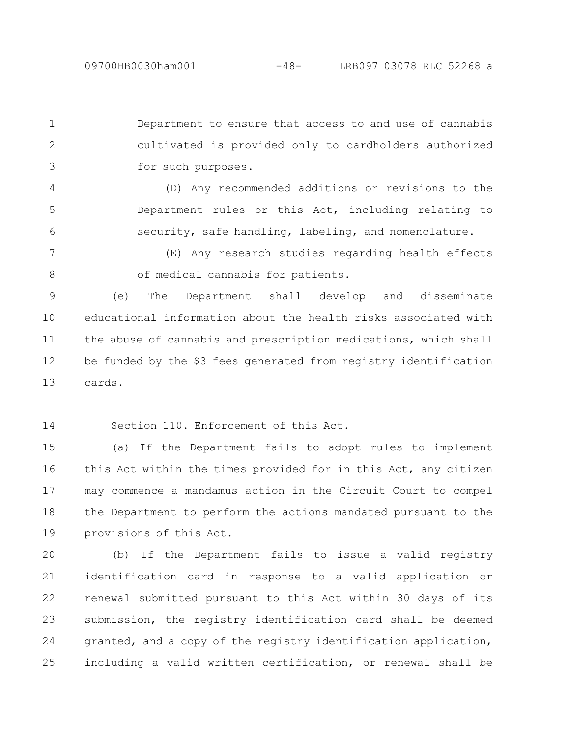Department to ensure that access to and use of cannabis cultivated is provided only to cardholders authorized for such purposes. 1 2 3

(D) Any recommended additions or revisions to the Department rules or this Act, including relating to security, safe handling, labeling, and nomenclature. 4 5 6

(E) Any research studies regarding health effects of medical cannabis for patients. 7 8

(e) The Department shall develop and disseminate educational information about the health risks associated with the abuse of cannabis and prescription medications, which shall be funded by the \$3 fees generated from registry identification cards. 9 10 11 12 13

Section 110. Enforcement of this Act. 14

(a) If the Department fails to adopt rules to implement this Act within the times provided for in this Act, any citizen may commence a mandamus action in the Circuit Court to compel the Department to perform the actions mandated pursuant to the provisions of this Act. 15 16 17 18 19

(b) If the Department fails to issue a valid registry identification card in response to a valid application or renewal submitted pursuant to this Act within 30 days of its submission, the registry identification card shall be deemed granted, and a copy of the registry identification application, including a valid written certification, or renewal shall be 20 21 22 23 24 25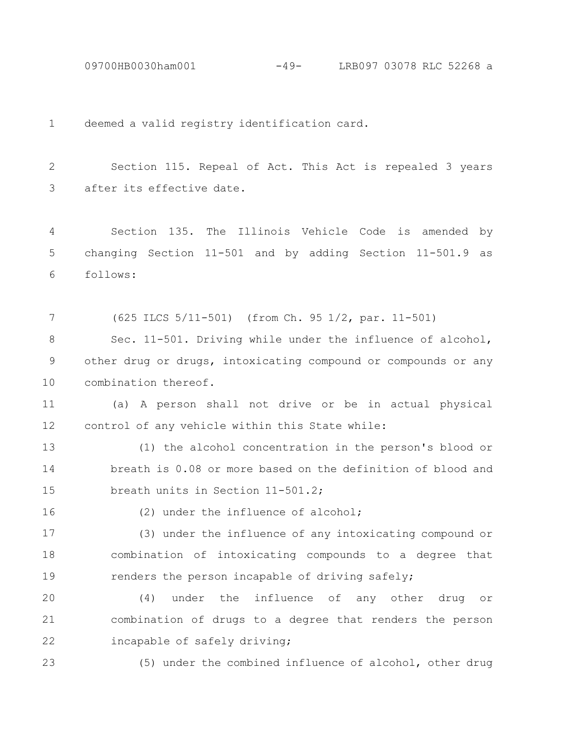09700HB0030ham001 -49- LRB097 03078 RLC 52268 a

deemed a valid registry identification card. 1

Section 115. Repeal of Act. This Act is repealed 3 years after its effective date. 2 3

Section 135. The Illinois Vehicle Code is amended by changing Section 11-501 and by adding Section 11-501.9 as follows: 4 5 6

(625 ILCS 5/11-501) (from Ch. 95 1/2, par. 11-501) 7

Sec. 11-501. Driving while under the influence of alcohol, other drug or drugs, intoxicating compound or compounds or any combination thereof. 8 9 10

(a) A person shall not drive or be in actual physical control of any vehicle within this State while: 11 12

(1) the alcohol concentration in the person's blood or breath is 0.08 or more based on the definition of blood and breath units in Section 11-501.2; 13 14 15

16

(2) under the influence of alcohol;

(3) under the influence of any intoxicating compound or combination of intoxicating compounds to a degree that renders the person incapable of driving safely; 17 18 19

(4) under the influence of any other drug or combination of drugs to a degree that renders the person incapable of safely driving; 20 21 22

23

(5) under the combined influence of alcohol, other drug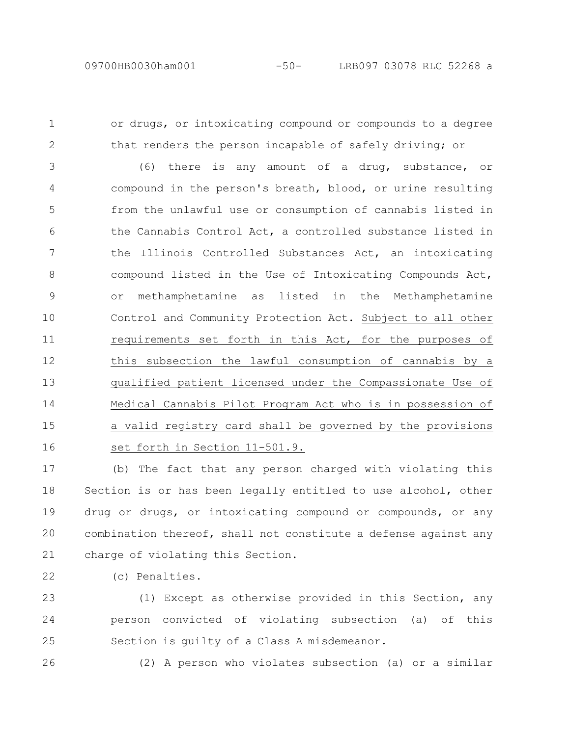1

2

or drugs, or intoxicating compound or compounds to a degree that renders the person incapable of safely driving; or

(6) there is any amount of a drug, substance, or compound in the person's breath, blood, or urine resulting from the unlawful use or consumption of cannabis listed in the Cannabis Control Act, a controlled substance listed in the Illinois Controlled Substances Act, an intoxicating compound listed in the Use of Intoxicating Compounds Act, or methamphetamine as listed in the Methamphetamine Control and Community Protection Act. Subject to all other requirements set forth in this Act, for the purposes of this subsection the lawful consumption of cannabis by a qualified patient licensed under the Compassionate Use of Medical Cannabis Pilot Program Act who is in possession of a valid registry card shall be governed by the provisions set forth in Section 11-501.9. 3 4 5 6 7 8 9 10 11 12 13 14 15 16

(b) The fact that any person charged with violating this Section is or has been legally entitled to use alcohol, other drug or drugs, or intoxicating compound or compounds, or any combination thereof, shall not constitute a defense against any charge of violating this Section. 17 18 19 20 21

(c) Penalties. 22

(1) Except as otherwise provided in this Section, any person convicted of violating subsection (a) of this Section is guilty of a Class A misdemeanor. 23 24 25

26

(2) A person who violates subsection (a) or a similar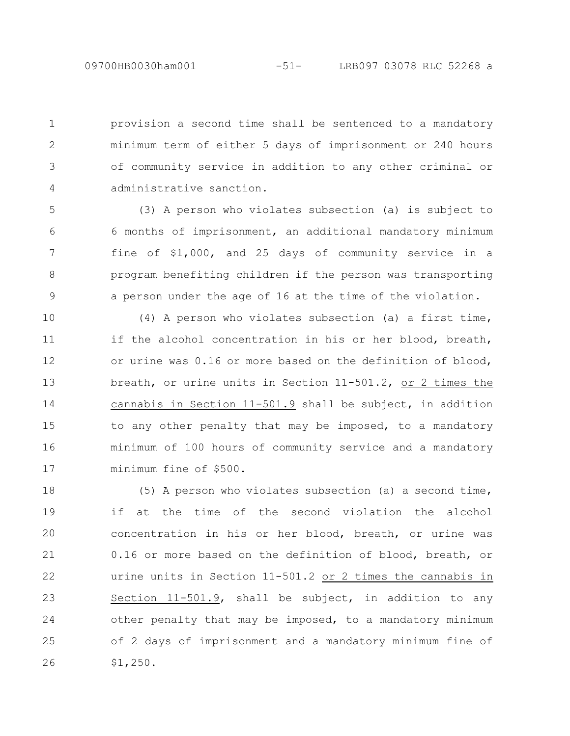1

2

3

4

provision a second time shall be sentenced to a mandatory minimum term of either 5 days of imprisonment or 240 hours of community service in addition to any other criminal or administrative sanction.

(3) A person who violates subsection (a) is subject to 6 months of imprisonment, an additional mandatory minimum fine of \$1,000, and 25 days of community service in a program benefiting children if the person was transporting a person under the age of 16 at the time of the violation. 5 6 7 8 9

(4) A person who violates subsection (a) a first time, if the alcohol concentration in his or her blood, breath, or urine was 0.16 or more based on the definition of blood, breath, or urine units in Section 11-501.2, or 2 times the cannabis in Section 11-501.9 shall be subject, in addition to any other penalty that may be imposed, to a mandatory minimum of 100 hours of community service and a mandatory minimum fine of \$500. 10 11 12 13 14 15 16 17

(5) A person who violates subsection (a) a second time, if at the time of the second violation the alcohol concentration in his or her blood, breath, or urine was 0.16 or more based on the definition of blood, breath, or urine units in Section 11-501.2 or 2 times the cannabis in Section 11-501.9, shall be subject, in addition to any other penalty that may be imposed, to a mandatory minimum of 2 days of imprisonment and a mandatory minimum fine of \$1,250. 18 19 20 21 22 23 24 25 26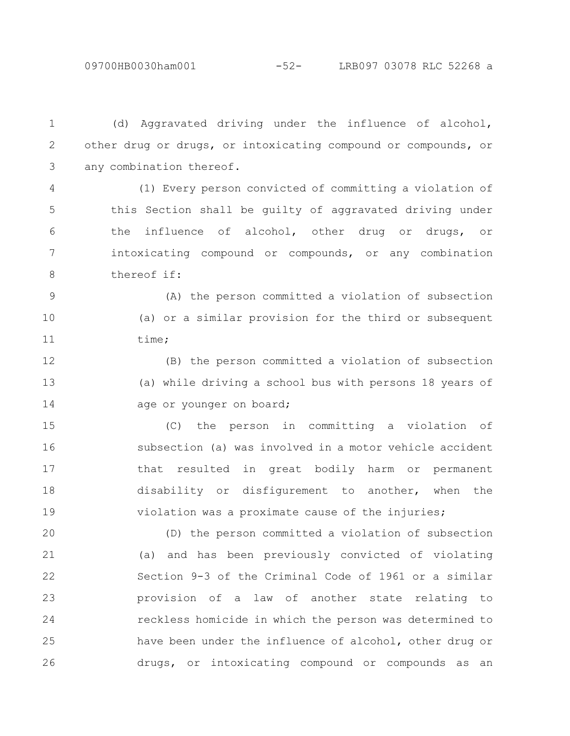(d) Aggravated driving under the influence of alcohol, other drug or drugs, or intoxicating compound or compounds, or any combination thereof. 1 2 3

(1) Every person convicted of committing a violation of this Section shall be guilty of aggravated driving under the influence of alcohol, other drug or drugs, or intoxicating compound or compounds, or any combination thereof if: 4 5 6 7 8

(A) the person committed a violation of subsection (a) or a similar provision for the third or subsequent time; 9 10 11

(B) the person committed a violation of subsection (a) while driving a school bus with persons 18 years of age or younger on board; 12 13 14

(C) the person in committing a violation of subsection (a) was involved in a motor vehicle accident that resulted in great bodily harm or permanent disability or disfigurement to another, when the violation was a proximate cause of the injuries; 15 16 17 18 19

(D) the person committed a violation of subsection (a) and has been previously convicted of violating Section 9-3 of the Criminal Code of 1961 or a similar provision of a law of another state relating to reckless homicide in which the person was determined to have been under the influence of alcohol, other drug or drugs, or intoxicating compound or compounds as an 20 21 22 23 24 25 26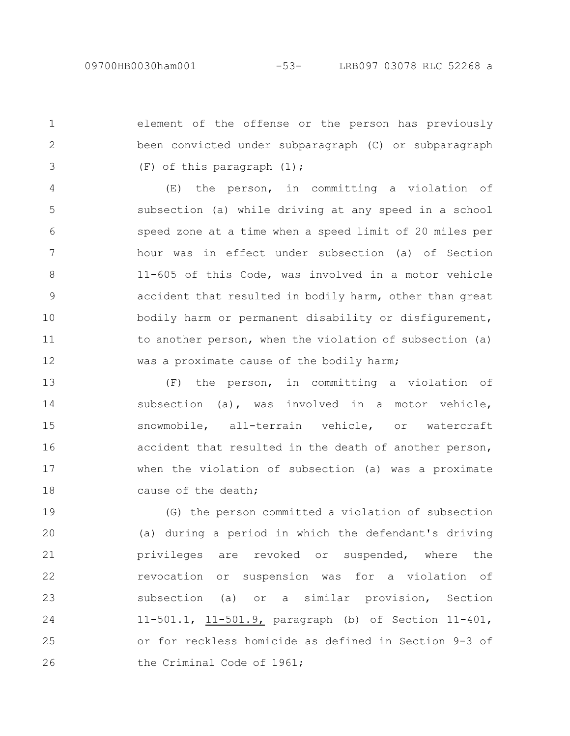1

2

3

element of the offense or the person has previously been convicted under subparagraph (C) or subparagraph (F) of this paragraph (1);

(E) the person, in committing a violation of subsection (a) while driving at any speed in a school speed zone at a time when a speed limit of 20 miles per hour was in effect under subsection (a) of Section 11-605 of this Code, was involved in a motor vehicle accident that resulted in bodily harm, other than great bodily harm or permanent disability or disfigurement, to another person, when the violation of subsection (a) was a proximate cause of the bodily harm; 4 5 6 7 8 9 10 11 12

(F) the person, in committing a violation of subsection (a), was involved in a motor vehicle, snowmobile, all-terrain vehicle, or watercraft accident that resulted in the death of another person, when the violation of subsection (a) was a proximate cause of the death; 13 14 15 16 17 18

(G) the person committed a violation of subsection (a) during a period in which the defendant's driving privileges are revoked or suspended, where the revocation or suspension was for a violation of subsection (a) or a similar provision, Section 11-501.1, 11-501.9, paragraph (b) of Section 11-401, or for reckless homicide as defined in Section 9-3 of the Criminal Code of 1961; 19 20 21 22 23 24 25 26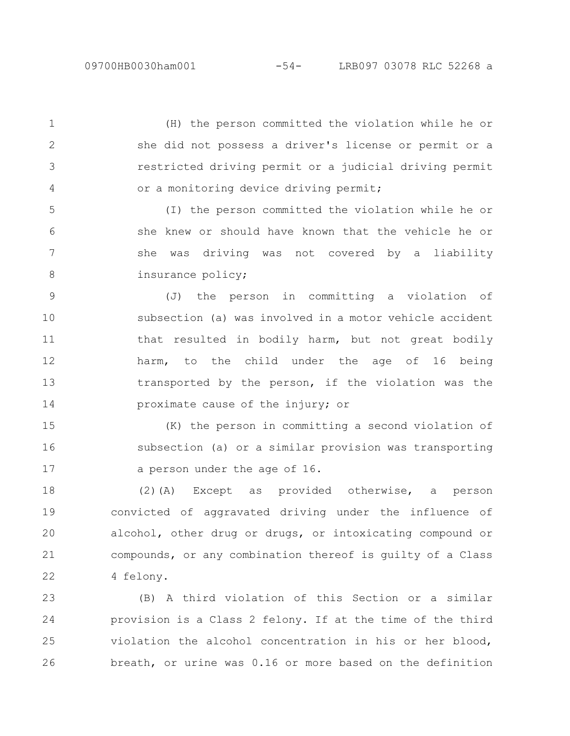2

3

4

(H) the person committed the violation while he or she did not possess a driver's license or permit or a restricted driving permit or a judicial driving permit or a monitoring device driving permit; 1

(I) the person committed the violation while he or she knew or should have known that the vehicle he or she was driving was not covered by a liability insurance policy; 5 6 7 8

(J) the person in committing a violation of subsection (a) was involved in a motor vehicle accident that resulted in bodily harm, but not great bodily harm, to the child under the age of 16 being transported by the person, if the violation was the proximate cause of the injury; or 9 10 11 12 13 14

(K) the person in committing a second violation of subsection (a) or a similar provision was transporting a person under the age of 16. 15 16 17

(2)(A) Except as provided otherwise, a person convicted of aggravated driving under the influence of alcohol, other drug or drugs, or intoxicating compound or compounds, or any combination thereof is guilty of a Class 4 felony. 18 19 20 21 22

(B) A third violation of this Section or a similar provision is a Class 2 felony. If at the time of the third violation the alcohol concentration in his or her blood, breath, or urine was 0.16 or more based on the definition 23 24 25 26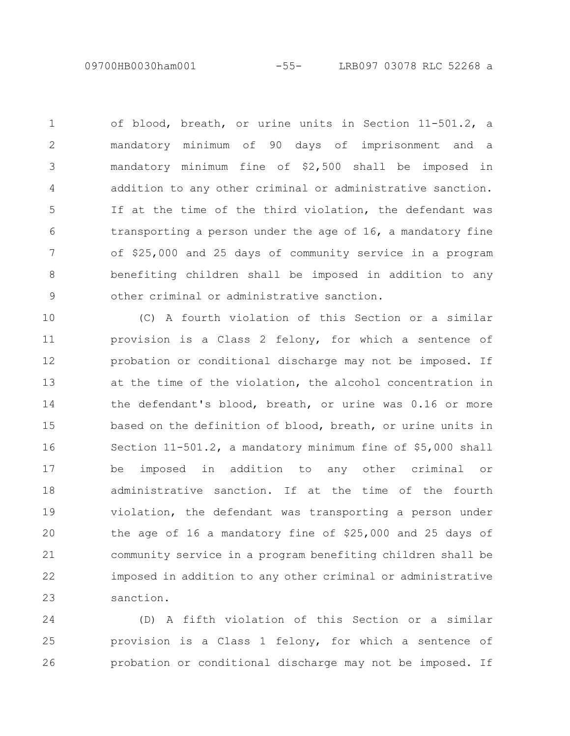09700HB0030ham001 -55- LRB097 03078 RLC 52268 a

of blood, breath, or urine units in Section 11-501.2, a mandatory minimum of 90 days of imprisonment and a mandatory minimum fine of \$2,500 shall be imposed in addition to any other criminal or administrative sanction. If at the time of the third violation, the defendant was transporting a person under the age of 16, a mandatory fine of \$25,000 and 25 days of community service in a program benefiting children shall be imposed in addition to any other criminal or administrative sanction. 1 2 3 4 5 6 7 8 9

(C) A fourth violation of this Section or a similar provision is a Class 2 felony, for which a sentence of probation or conditional discharge may not be imposed. If at the time of the violation, the alcohol concentration in the defendant's blood, breath, or urine was 0.16 or more based on the definition of blood, breath, or urine units in Section 11-501.2, a mandatory minimum fine of \$5,000 shall be imposed in addition to any other criminal or administrative sanction. If at the time of the fourth violation, the defendant was transporting a person under the age of 16 a mandatory fine of \$25,000 and 25 days of community service in a program benefiting children shall be imposed in addition to any other criminal or administrative sanction. 10 11 12 13 14 15 16 17 18 19 20 21 22 23

(D) A fifth violation of this Section or a similar provision is a Class 1 felony, for which a sentence of probation or conditional discharge may not be imposed. If 24 25 26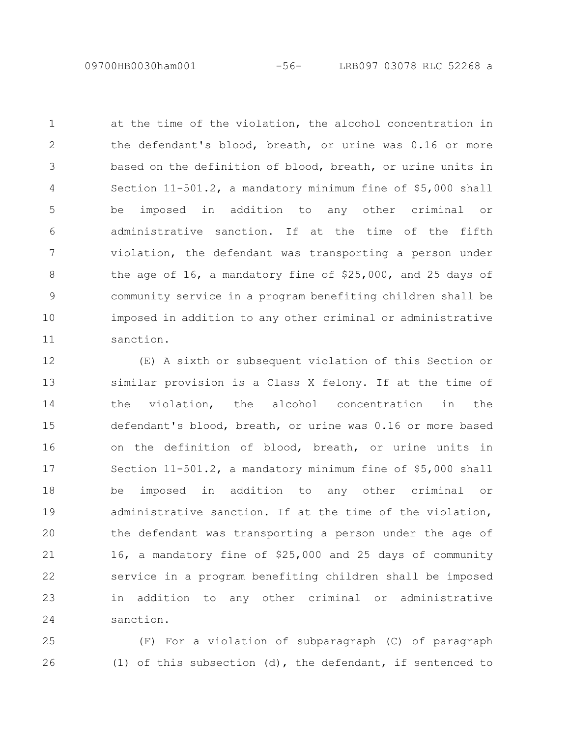09700HB0030ham001 -56- LRB097 03078 RLC 52268 a

at the time of the violation, the alcohol concentration in the defendant's blood, breath, or urine was 0.16 or more based on the definition of blood, breath, or urine units in Section 11-501.2, a mandatory minimum fine of \$5,000 shall be imposed in addition to any other criminal or administrative sanction. If at the time of the fifth violation, the defendant was transporting a person under the age of 16, a mandatory fine of \$25,000, and 25 days of community service in a program benefiting children shall be imposed in addition to any other criminal or administrative sanction. 1 2 3 4 5 6 7 8 9 10 11

(E) A sixth or subsequent violation of this Section or similar provision is a Class X felony. If at the time of the violation, the alcohol concentration in the defendant's blood, breath, or urine was 0.16 or more based on the definition of blood, breath, or urine units in Section 11-501.2, a mandatory minimum fine of \$5,000 shall be imposed in addition to any other criminal or administrative sanction. If at the time of the violation, the defendant was transporting a person under the age of 16, a mandatory fine of \$25,000 and 25 days of community service in a program benefiting children shall be imposed in addition to any other criminal or administrative sanction. 12 13 14 15 16 17 18 19 20 21 22 23 24

(F) For a violation of subparagraph (C) of paragraph (1) of this subsection (d), the defendant, if sentenced to 25 26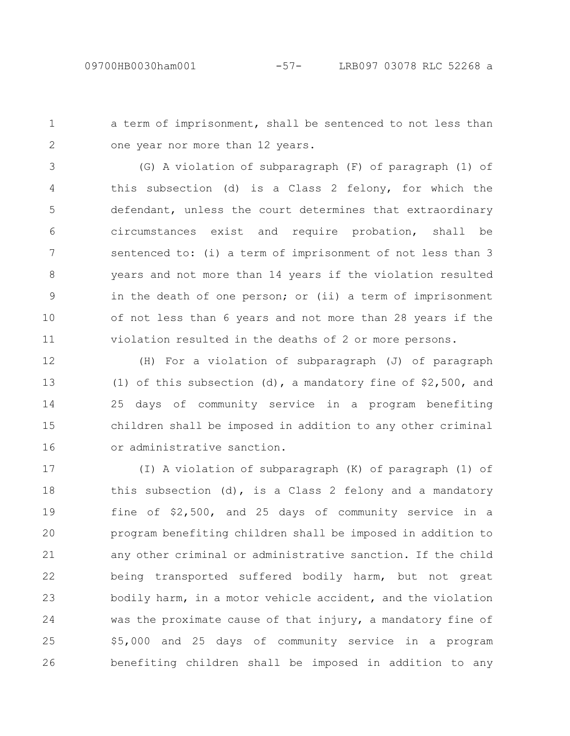a term of imprisonment, shall be sentenced to not less than one year nor more than 12 years. 1 2

(G) A violation of subparagraph (F) of paragraph (1) of this subsection (d) is a Class 2 felony, for which the defendant, unless the court determines that extraordinary circumstances exist and require probation, shall be sentenced to: (i) a term of imprisonment of not less than 3 years and not more than 14 years if the violation resulted in the death of one person; or (ii) a term of imprisonment of not less than 6 years and not more than 28 years if the violation resulted in the deaths of 2 or more persons. 3 4 5 6 7 8 9 10 11

(H) For a violation of subparagraph (J) of paragraph (1) of this subsection (d), a mandatory fine of \$2,500, and 25 days of community service in a program benefiting children shall be imposed in addition to any other criminal or administrative sanction. 12 13 14 15 16

(I) A violation of subparagraph (K) of paragraph (1) of this subsection (d), is a Class 2 felony and a mandatory fine of \$2,500, and 25 days of community service in a program benefiting children shall be imposed in addition to any other criminal or administrative sanction. If the child being transported suffered bodily harm, but not great bodily harm, in a motor vehicle accident, and the violation was the proximate cause of that injury, a mandatory fine of \$5,000 and 25 days of community service in a program benefiting children shall be imposed in addition to any 17 18 19 20 21 22 23 24 25 26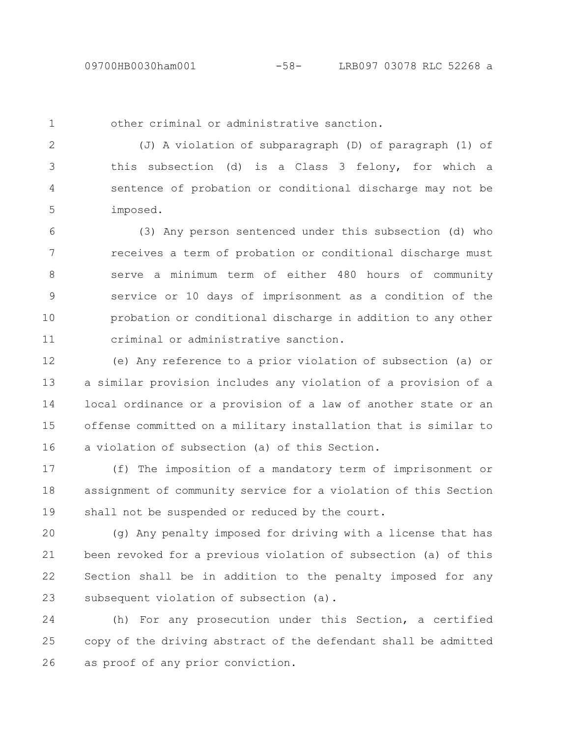1

other criminal or administrative sanction.

(J) A violation of subparagraph (D) of paragraph (1) of this subsection (d) is a Class 3 felony, for which a sentence of probation or conditional discharge may not be imposed. 2 3 4 5

(3) Any person sentenced under this subsection (d) who receives a term of probation or conditional discharge must serve a minimum term of either 480 hours of community service or 10 days of imprisonment as a condition of the probation or conditional discharge in addition to any other criminal or administrative sanction. 6 7 8 9 10 11

(e) Any reference to a prior violation of subsection (a) or a similar provision includes any violation of a provision of a local ordinance or a provision of a law of another state or an offense committed on a military installation that is similar to a violation of subsection (a) of this Section. 12 13 14 15 16

(f) The imposition of a mandatory term of imprisonment or assignment of community service for a violation of this Section shall not be suspended or reduced by the court. 17 18 19

(g) Any penalty imposed for driving with a license that has been revoked for a previous violation of subsection (a) of this Section shall be in addition to the penalty imposed for any subsequent violation of subsection (a). 20 21 22 23

(h) For any prosecution under this Section, a certified copy of the driving abstract of the defendant shall be admitted as proof of any prior conviction. 24 25 26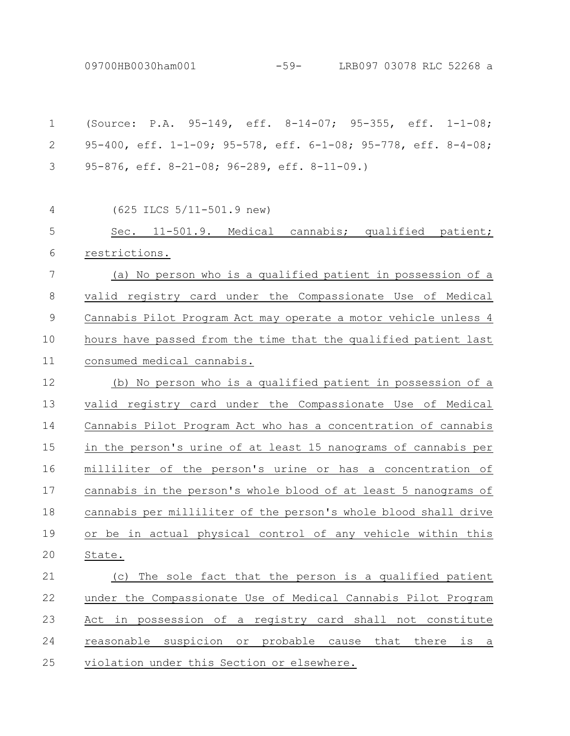09700HB0030ham001 -59- LRB097 03078 RLC 52268 a

| $\mathbf 1$ | (Source: P.A. 95-149, eff. 8-14-07; 95-355, eff. 1-1-08;        |
|-------------|-----------------------------------------------------------------|
| 2           | 95-400, eff. 1-1-09; 95-578, eff. 6-1-08; 95-778, eff. 8-4-08;  |
| 3           | 95-876, eff. 8-21-08; 96-289, eff. 8-11-09.)                    |
| 4           | $(625$ ILCS $5/11-501.9$ new)                                   |
| 5           | Sec. 11-501.9. Medical cannabis; qualified patient;             |
| 6           | restrictions.                                                   |
| 7           | (a) No person who is a qualified patient in possession of a     |
| 8           | valid registry card under the Compassionate Use of Medical      |
| $\mathsf 9$ | Cannabis Pilot Program Act may operate a motor vehicle unless 4 |
| 10          | hours have passed from the time that the qualified patient last |
| 11          | consumed medical cannabis.                                      |
| 12          | (b) No person who is a qualified patient in possession of a     |
|             | valid registry card under the Compassionate Use of Medical      |
| 13          |                                                                 |
| 14          | Cannabis Pilot Program Act who has a concentration of cannabis  |
| 15          | in the person's urine of at least 15 nanograms of cannabis per  |
| 16          | milliliter of the person's urine or has a concentration of      |
| 17          | cannabis in the person's whole blood of at least 5 nanograms of |
| 18          | cannabis per milliliter of the person's whole blood shall drive |
| 19          | or be in actual physical control of any vehicle within this     |
| 20          | State.                                                          |
| 21          | The sole fact that the person is a qualified patient<br>(C)     |
| 22          | under the Compassionate Use of Medical Cannabis Pilot Program   |
| 23          | Act in possession of a registry card shall not constitute       |
| 24          | reasonable suspicion or probable cause that there is a          |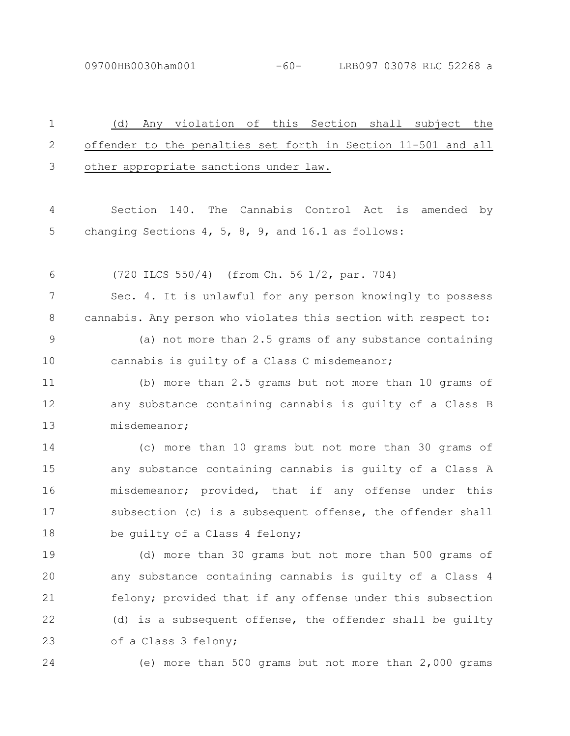09700HB0030ham001 -60- LRB097 03078 RLC 52268 a

| $\mathbf 1$   | (d)<br>Any violation of this Section shall subject the          |
|---------------|-----------------------------------------------------------------|
| 2             | offender to the penalties set forth in Section 11-501 and all   |
| 3             | other appropriate sanctions under law.                          |
| 4             | Section 140. The Cannabis Control Act<br>is amended<br>by       |
| 5             | changing Sections 4, 5, 8, 9, and 16.1 as follows:              |
| 6             | (720 ILCS 550/4) (from Ch. 56 1/2, par. 704)                    |
| 7             | Sec. 4. It is unlawful for any person knowingly to possess      |
| 8             | cannabis. Any person who violates this section with respect to: |
| $\mathcal{G}$ | (a) not more than 2.5 grams of any substance containing         |
| 10            | cannabis is guilty of a Class C misdemeanor;                    |
| 11            | (b) more than 2.5 grams but not more than 10 grams of           |
| 12            | any substance containing cannabis is guilty of a Class B        |
| 13            | misdemeanor;                                                    |
| 14            | (c) more than 10 grams but not more than 30 grams of            |
| 15            | any substance containing cannabis is guilty of a Class A        |
| 16            | misdemeanor; provided, that if any offense under this           |
| 17            | subsection (c) is a subsequent offense, the offender shall      |
| 18            | be guilty of a Class 4 felony;                                  |
| 19            | (d) more than 30 grams but not more than 500 grams of           |
| 20            | any substance containing cannabis is guilty of a Class 4        |
| 21            | felony; provided that if any offense under this subsection      |
| 22            | (d) is a subsequent offense, the offender shall be guilty       |
| 23            | of a Class 3 felony;                                            |
| 24            | (e) more than 500 grams but not more than 2,000 grams           |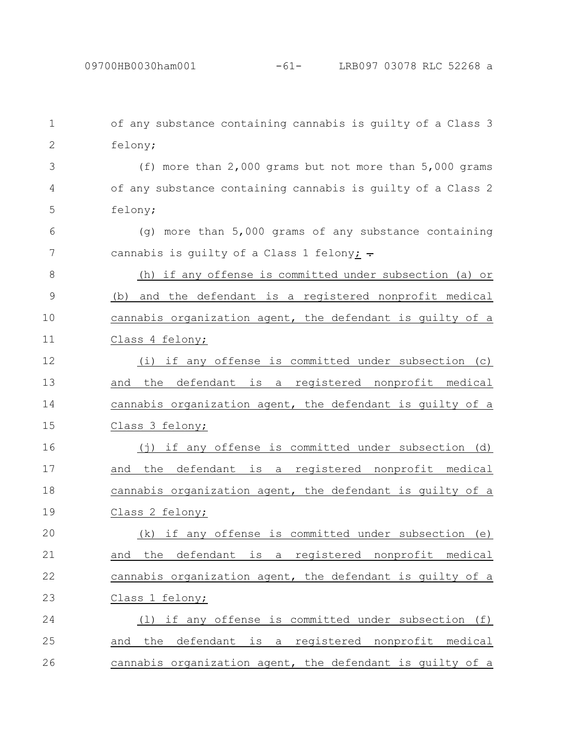| $\mathbf 1$   | of any substance containing cannabis is guilty of a Class 3 |
|---------------|-------------------------------------------------------------|
| $\mathbf{2}$  | felony;                                                     |
| 3             | (f) more than $2,000$ grams but not more than $5,000$ grams |
| 4             | of any substance containing cannabis is guilty of a Class 2 |
| 5             | felony;                                                     |
| 6             | (g) more than 5,000 grams of any substance containing       |
| 7             | cannabis is guilty of a Class 1 felony: $\overline{\cdot}$  |
| 8             | (h) if any offense is committed under subsection (a) or     |
| $\mathcal{G}$ | (b) and the defendant is a registered nonprofit medical     |
| 10            | cannabis organization agent, the defendant is guilty of a   |
| 11            | Class 4 felony;                                             |
| 12            | (i) if any offense is committed under subsection (c)        |
| 13            | and the defendant is a registered nonprofit medical         |
| 14            | cannabis organization agent, the defendant is guilty of a   |
| 15            | Class 3 felony;                                             |
| 16            | (j) if any offense is committed under subsection (d)        |
| 17            | and the defendant is a registered nonprofit medical         |
| 18            | cannabis organization agent, the defendant is quilty of a   |
| 19            | Class 2 felony;                                             |
| 20            | (k) if any offense is committed under subsection<br>(e)     |
| 21            | defendant is a registered nonprofit medical<br>the<br>and   |
| 22            | cannabis organization agent, the defendant is guilty of a   |
| 23            | Class 1 felony;                                             |
| 24            | (1) if any offense is committed under subsection (f)        |
| 25            | and the defendant is a registered nonprofit medical         |
| 26            | cannabis organization agent, the defendant is guilty of a   |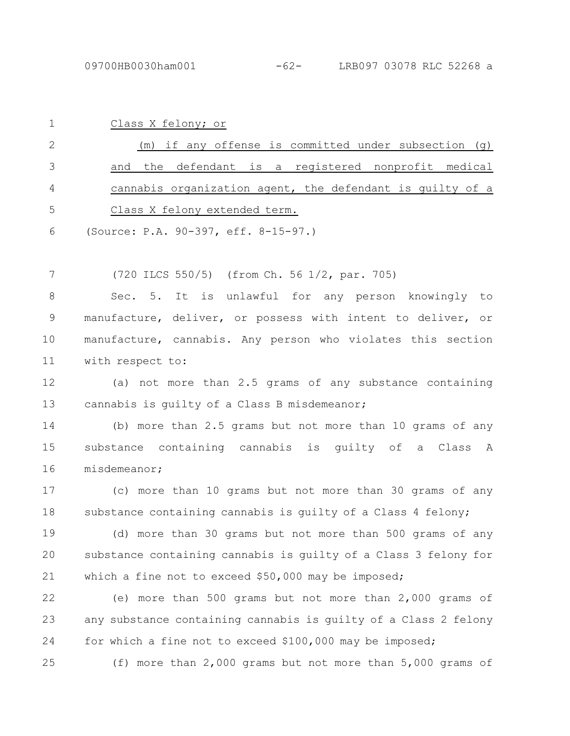| $\mathbf{1}$ | Class X felony; or                                        |
|--------------|-----------------------------------------------------------|
| 2            | (m) if any offense is committed under subsection $(q)$    |
| 3            | and the defendant is a registered nonprofit medical       |
| 4            | cannabis organization agent, the defendant is quilty of a |
| 5            | Class X felony extended term.                             |

(Source: P.A. 90-397, eff. 8-15-97.) 6

(720 ILCS 550/5) (from Ch. 56 1/2, par. 705) 7

Sec. 5. It is unlawful for any person knowingly to manufacture, deliver, or possess with intent to deliver, or manufacture, cannabis. Any person who violates this section with respect to: 8 9 10 11

(a) not more than 2.5 grams of any substance containing cannabis is guilty of a Class B misdemeanor; 12 13

(b) more than 2.5 grams but not more than 10 grams of any substance containing cannabis is guilty of a Class A misdemeanor; 14 15 16

(c) more than 10 grams but not more than 30 grams of any substance containing cannabis is quilty of a Class 4 felony; 17 18

(d) more than 30 grams but not more than 500 grams of any substance containing cannabis is guilty of a Class 3 felony for which a fine not to exceed \$50,000 may be imposed; 19 20 21

(e) more than 500 grams but not more than 2,000 grams of any substance containing cannabis is guilty of a Class 2 felony for which a fine not to exceed \$100,000 may be imposed; 22 23 24

(f) more than 2,000 grams but not more than 5,000 grams of 25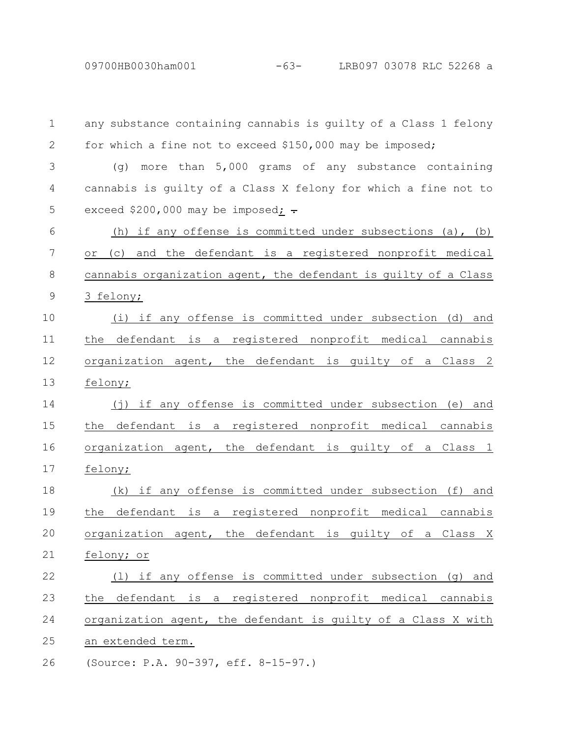09700HB0030ham001 -63- LRB097 03078 RLC 52268 a

| $\mathbf 1$ | any substance containing cannabis is guilty of a Class 1 felony |
|-------------|-----------------------------------------------------------------|
| 2           | for which a fine not to exceed \$150,000 may be imposed;        |
| 3           | (q) more than $5,000$ grams of any substance containing         |
| 4           | cannabis is quilty of a Class X felony for which a fine not to  |
| 5           | exceed \$200,000 may be imposed: $\div$                         |
| 6           | (h) if any offense is committed under subsections (a), (b)      |
| 7           | or (c) and the defendant is a registered nonprofit medical      |
| 8           | cannabis organization agent, the defendant is quilty of a Class |
| $\mathsf 9$ | 3 felony;                                                       |
| 10          | (i) if any offense is committed under subsection (d) and        |
| 11          | the defendant is a registered nonprofit medical cannabis        |
| 12          | organization agent, the defendant is guilty of a Class 2        |
| 13          | felony;                                                         |
| 14          | (j) if any offense is committed under subsection (e) and        |
| 15          | the defendant is a registered nonprofit medical cannabis        |
| 16          | organization agent, the defendant is quilty of a Class 1        |
| 17          | felony;                                                         |
| 18          | (k) if any offense is committed under subsection (f) and        |
| 19          | the defendant is a registered nonprofit medical cannabis        |
| 20          | organization agent, the defendant is guilty of a<br>Class X     |
| 21          | felony; or                                                      |
| 22          | (1) if any offense is committed under subsection (g) and        |
| 23          | the defendant is a registered nonprofit medical cannabis        |
| 24          | organization agent, the defendant is quilty of a Class X with   |
| 25          | an extended term.                                               |
| 26          | (Source: P.A. 90-397, eff. 8-15-97.)                            |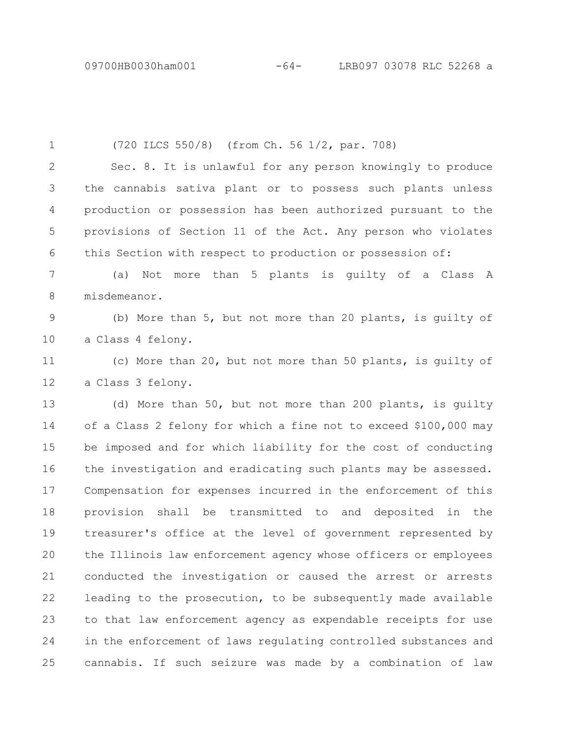(720 ILCS 550/8) (from Ch. 56 1/2, par. 708) Sec. 8. It is unlawful for any person knowingly to produce the cannabis sativa plant or to possess such plants unless production or possession has been authorized pursuant to the provisions of Section 11 of the Act. Any person who violates this Section with respect to production or possession of: (a) Not more than 5 plants is guilty of a Class A misdemeanor. (b) More than 5, but not more than 20 plants, is guilty of a Class 4 felony. (c) More than 20, but not more than 50 plants, is guilty of a Class 3 felony. (d) More than 50, but not more than 200 plants, is guilty of a Class 2 felony for which a fine not to exceed \$100,000 may be imposed and for which liability for the cost of conducting the investigation and eradicating such plants may be assessed. Compensation for expenses incurred in the enforcement of this provision shall be transmitted to and deposited in the treasurer's office at the level of government represented by the Illinois law enforcement agency whose officers or employees conducted the investigation or caused the arrest or arrests leading to the prosecution, to be subsequently made available to that law enforcement agency as expendable receipts for use in the enforcement of laws regulating controlled substances and cannabis. If such seizure was made by a combination of law 1 2 3 4 5 6 7 8 9 10 11 12 13 14 15 16 17 18 19 20 21 22 23 24 25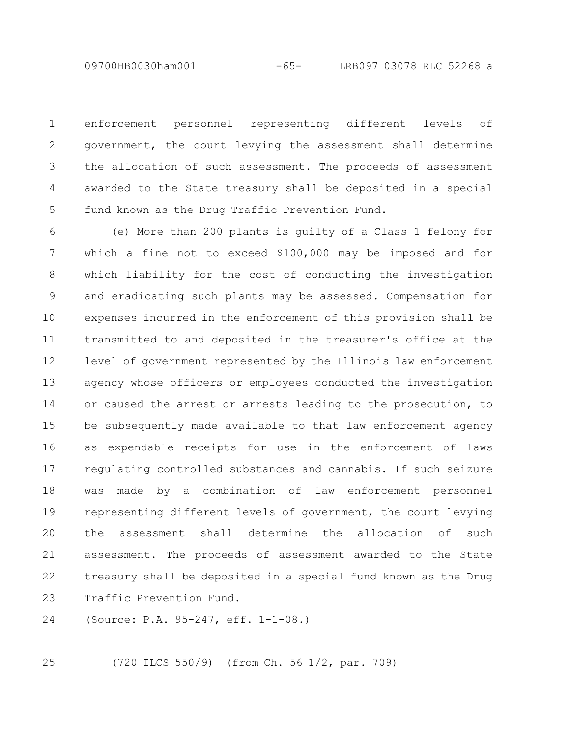09700HB0030ham001 -65- LRB097 03078 RLC 52268 a

enforcement personnel representing different levels of government, the court levying the assessment shall determine the allocation of such assessment. The proceeds of assessment awarded to the State treasury shall be deposited in a special fund known as the Drug Traffic Prevention Fund. 1 2 3 4 5

(e) More than 200 plants is guilty of a Class 1 felony for which a fine not to exceed \$100,000 may be imposed and for which liability for the cost of conducting the investigation and eradicating such plants may be assessed. Compensation for expenses incurred in the enforcement of this provision shall be transmitted to and deposited in the treasurer's office at the level of government represented by the Illinois law enforcement agency whose officers or employees conducted the investigation or caused the arrest or arrests leading to the prosecution, to be subsequently made available to that law enforcement agency as expendable receipts for use in the enforcement of laws regulating controlled substances and cannabis. If such seizure was made by a combination of law enforcement personnel representing different levels of government, the court levying the assessment shall determine the allocation of such assessment. The proceeds of assessment awarded to the State treasury shall be deposited in a special fund known as the Drug Traffic Prevention Fund. 6 7 8 9 10 11 12 13 14 15 16 17 18 19 20 21 22 23

(Source: P.A. 95-247, eff. 1-1-08.) 24

25

(720 ILCS 550/9) (from Ch. 56 1/2, par. 709)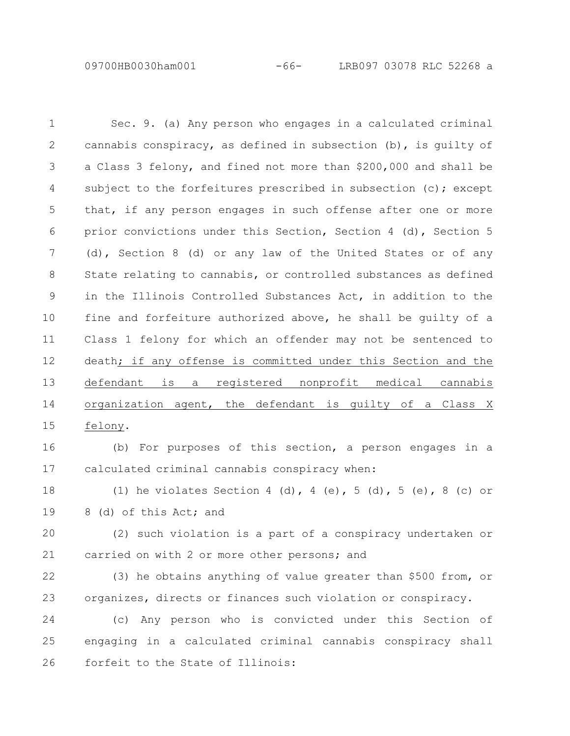09700HB0030ham001 -66- LRB097 03078 RLC 52268 a

Sec. 9. (a) Any person who engages in a calculated criminal cannabis conspiracy, as defined in subsection (b), is guilty of a Class 3 felony, and fined not more than \$200,000 and shall be subject to the forfeitures prescribed in subsection (c); except that, if any person engages in such offense after one or more prior convictions under this Section, Section 4 (d), Section 5 (d), Section 8 (d) or any law of the United States or of any State relating to cannabis, or controlled substances as defined in the Illinois Controlled Substances Act, in addition to the fine and forfeiture authorized above, he shall be guilty of a Class 1 felony for which an offender may not be sentenced to death; if any offense is committed under this Section and the defendant is a registered nonprofit medical cannabis organization agent, the defendant is guilty of a Class X felony. (b) For purposes of this section, a person engages in a calculated criminal cannabis conspiracy when: (1) he violates Section 4 (d), 4 (e), 5 (d), 5 (e), 8 (c) or 8 (d) of this Act; and (2) such violation is a part of a conspiracy undertaken or carried on with 2 or more other persons; and (3) he obtains anything of value greater than \$500 from, or organizes, directs or finances such violation or conspiracy. (c) Any person who is convicted under this Section of engaging in a calculated criminal cannabis conspiracy shall 1 2 3 4 5 6 7 8 9 10 11 12 13 14 15 16 17 18 19 20 21 22 23 24 25

forfeit to the State of Illinois:

26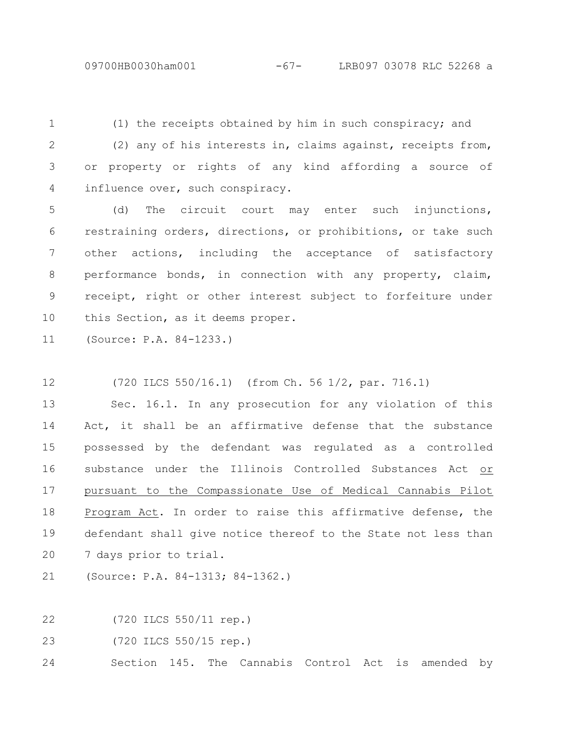(1) the receipts obtained by him in such conspiracy; and (2) any of his interests in, claims against, receipts from, or property or rights of any kind affording a source of influence over, such conspiracy. 1 2 3 4

(d) The circuit court may enter such injunctions, restraining orders, directions, or prohibitions, or take such other actions, including the acceptance of satisfactory performance bonds, in connection with any property, claim, receipt, right or other interest subject to forfeiture under this Section, as it deems proper. 5 6 7 8 9 10

(Source: P.A. 84-1233.) 11

(720 ILCS 550/16.1) (from Ch. 56 1/2, par. 716.1) 12

Sec. 16.1. In any prosecution for any violation of this Act, it shall be an affirmative defense that the substance possessed by the defendant was regulated as a controlled substance under the Illinois Controlled Substances Act or pursuant to the Compassionate Use of Medical Cannabis Pilot Program Act. In order to raise this affirmative defense, the defendant shall give notice thereof to the State not less than 7 days prior to trial. 13 14 15 16 17 18 19 20

(Source: P.A. 84-1313; 84-1362.) 21

(720 ILCS 550/11 rep.) 22

(720 ILCS 550/15 rep.) 23

Section 145. The Cannabis Control Act is amended by 24